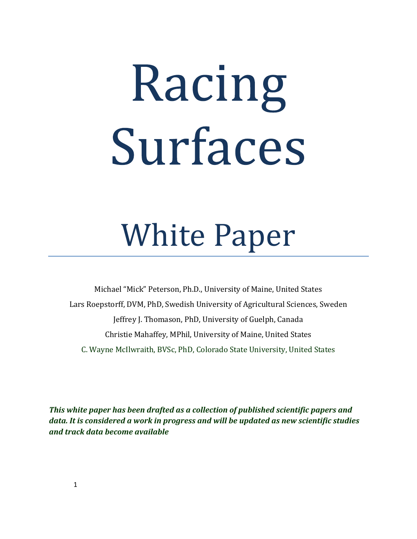# Racing Surfaces

# White Paper

Michael "Mick" Peterson, Ph.D., University of Maine, United States Lars Roepstorff, DVM, PhD, Swedish University of Agricultural Sciences, Sweden Jeffrey J. Thomason, PhD, University of Guelph, Canada Christie Mahaffey, MPhil, University of Maine, United States C. Wayne McIlwraith, BVSc, PhD, Colorado State University, United States

*This white paper has been drafted as a collection of published scientific papers and data. It is considered a work in progress and will be updated as new scientific studies and track data become available*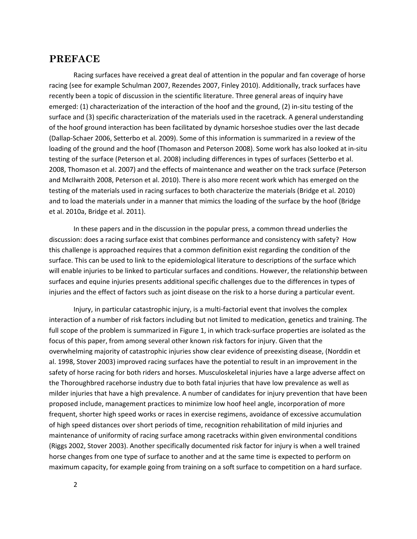# **PREFACE**

Racing surfaces have received a great deal of attention in the popular and fan coverage of horse racing (see for example Schulman 2007, Rezendes 2007, Finley 2010). Additionally, track surfaces have recently been a topic of discussion in the scientific literature. Three general areas of inquiry have emerged: (1) characterization of the interaction of the hoof and the ground, (2) in‐situ testing of the surface and (3) specific characterization of the materials used in the racetrack. A general understanding of the hoof ground interaction has been facilitated by dynamic horseshoe studies over the last decade (Dallap‐Schaer 2006, Setterbo et al. 2009). Some of this information is summarized in a review of the loading of the ground and the hoof (Thomason and Peterson 2008). Some work has also looked at in‐situ testing of the surface (Peterson et al. 2008) including differences in types of surfaces (Setterbo et al. 2008, Thomason et al. 2007) and the effects of maintenance and weather on the track surface (Peterson and McIlwraith 2008, Peterson et al. 2010). There is also more recent work which has emerged on the testing of the materials used in racing surfaces to both characterize the materials (Bridge et al. 2010) and to load the materials under in a manner that mimics the loading of the surface by the hoof (Bridge et al. 2010a, Bridge et al. 2011).

In these papers and in the discussion in the popular press, a common thread underlies the discussion: does a racing surface exist that combines performance and consistency with safety? How this challenge is approached requires that a common definition exist regarding the condition of the surface. This can be used to link to the epidemiological literature to descriptions of the surface which will enable injuries to be linked to particular surfaces and conditions. However, the relationship between surfaces and equine injuries presents additional specific challenges due to the differences in types of injuries and the effect of factors such as joint disease on the risk to a horse during a particular event.

Injury, in particular catastrophic injury, is a multi‐factorial event that involves the complex interaction of a number of risk factors including but not limited to medication, genetics and training. The full scope of the problem is summarized in Figure 1, in which track-surface properties are isolated as the focus of this paper, from among several other known risk factors for injury. Given that the overwhelming majority of catastrophic injuries show clear evidence of preexisting disease, (Norddin et al. 1998, Stover 2003) improved racing surfaces have the potential to result in an improvement in the safety of horse racing for both riders and horses. Musculoskeletal injuries have a large adverse affect on the Thoroughbred racehorse industry due to both fatal injuries that have low prevalence as well as milder injuries that have a high prevalence. A number of candidates for injury prevention that have been proposed include, management practices to minimize low hoof heel angle, incorporation of more frequent, shorter high speed works or races in exercise regimens, avoidance of excessive accumulation of high speed distances over short periods of time, recognition rehabilitation of mild injuries and maintenance of uniformity of racing surface among racetracks within given environmental conditions (Riggs 2002, Stover 2003). Another specifically documented risk factor for injury is when a well trained horse changes from one type of surface to another and at the same time is expected to perform on maximum capacity, for example going from training on a soft surface to competition on a hard surface.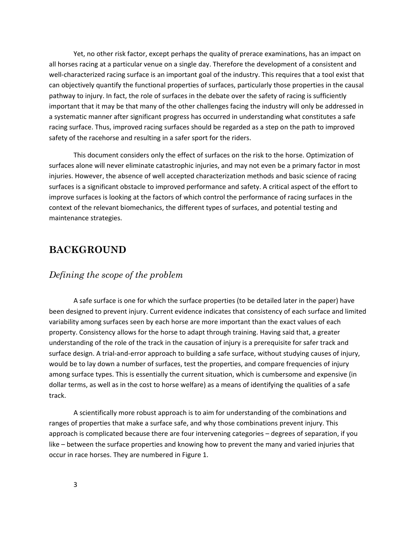Yet, no other risk factor, except perhaps the quality of prerace examinations, has an impact on all horses racing at a particular venue on a single day. Therefore the development of a consistent and well-characterized racing surface is an important goal of the industry. This requires that a tool exist that can objectively quantify the functional properties of surfaces, particularly those properties in the causal pathway to injury. In fact, the role of surfaces in the debate over the safety of racing is sufficiently important that it may be that many of the other challenges facing the industry will only be addressed in a systematic manner after significant progress has occurred in understanding what constitutes a safe racing surface. Thus, improved racing surfaces should be regarded as a step on the path to improved safety of the racehorse and resulting in a safer sport for the riders.

This document considers only the effect of surfaces on the risk to the horse. Optimization of surfaces alone will never eliminate catastrophic injuries, and may not even be a primary factor in most injuries. However, the absence of well accepted characterization methods and basic science of racing surfaces is a significant obstacle to improved performance and safety. A critical aspect of the effort to improve surfaces is looking at the factors of which control the performance of racing surfaces in the context of the relevant biomechanics, the different types of surfaces, and potential testing and maintenance strategies.

# **BACKGROUND**

# *Defining the scope of the problem*

A safe surface is one for which the surface properties (to be detailed later in the paper) have been designed to prevent injury. Current evidence indicates that consistency of each surface and limited variability among surfaces seen by each horse are more important than the exact values of each property. Consistency allows for the horse to adapt through training. Having said that, a greater understanding of the role of the track in the causation of injury is a prerequisite for safer track and surface design. A trial‐and‐error approach to building a safe surface, without studying causes of injury, would be to lay down a number of surfaces, test the properties, and compare frequencies of injury among surface types. This is essentially the current situation, which is cumbersome and expensive (in dollar terms, as well as in the cost to horse welfare) as a means of identifying the qualities of a safe track.

A scientifically more robust approach is to aim for understanding of the combinations and ranges of properties that make a surface safe, and why those combinations prevent injury. This approach is complicated because there are four intervening categories – degrees of separation, if you like – between the surface properties and knowing how to prevent the many and varied injuries that occur in race horses. They are numbered in Figure 1.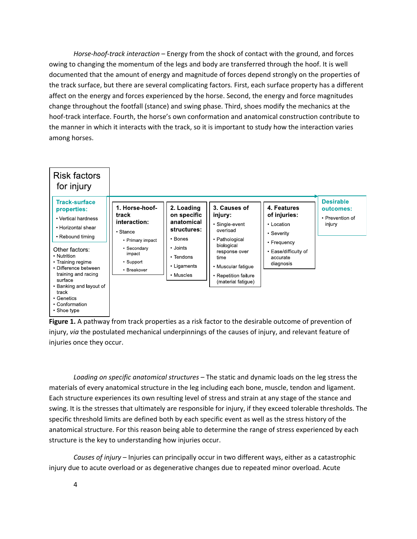*Horse‐hoof‐track interaction* – Energy from the shock of contact with the ground, and forces owing to changing the momentum of the legs and body are transferred through the hoof. It is well documented that the amount of energy and magnitude of forces depend strongly on the properties of the track surface, but there are several complicating factors*.* First, each surface property has a different affect on the energy and forces experienced by the horse. Second, the energy and force magnitudes change throughout the footfall (stance) and swing phase. Third, shoes modify the mechanics at the hoof-track interface. Fourth, the horse's own conformation and anatomical construction contribute to the manner in which it interacts with the track, so it is important to study how the interaction varies among horses.



**Figure 1.** A pathway from track properties as a risk factor to the desirable outcome of prevention of injury, *via* the postulated mechanical underpinnings of the causes of injury, and relevant feature of injuries once they occur.

*Loading on specific anatomical structures –* The static and dynamic loads on the leg stress the materials of every anatomical structure in the leg including each bone, muscle, tendon and ligament. Each structure experiences its own resulting level of stress and strain at any stage of the stance and swing. It is the stresses that ultimately are responsible for injury, if they exceed tolerable thresholds. The specific threshold limits are defined both by each specific event as well as the stress history of the anatomical structure. For this reason being able to determine the range of stress experienced by each structure is the key to understanding how injuries occur.

*Causes of injury* – Injuries can principally occur in two different ways, either as a catastrophic injury due to acute overload or as degenerative changes due to repeated minor overload. Acute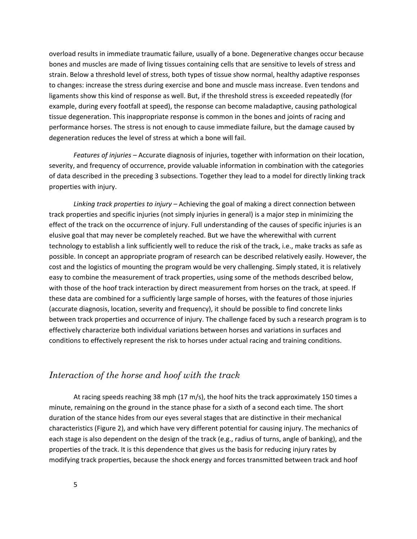overload results in immediate traumatic failure, usually of a bone. Degenerative changes occur because bones and muscles are made of living tissues containing cells that are sensitive to levels of stress and strain. Below a threshold level of stress, both types of tissue show normal, healthy adaptive responses to changes: increase the stress during exercise and bone and muscle mass increase. Even tendons and ligaments show this kind of response as well. But, if the threshold stress is exceeded repeatedly (for example, during every footfall at speed), the response can become maladaptive, causing pathological tissue degeneration. This inappropriate response is common in the bones and joints of racing and performance horses. The stress is not enough to cause immediate failure, but the damage caused by degeneration reduces the level of stress at which a bone will fail.

*Features of injuries –* Accurate diagnosis of injuries, together with information on their location, severity, and frequency of occurrence, provide valuable information in combination with the categories of data described in the preceding 3 subsections. Together they lead to a model for directly linking track properties with injury.

*Linking track properties to injury –* Achieving the goal of making a direct connection between track properties and specific injuries (not simply injuries in general) is a major step in minimizing the effect of the track on the occurrence of injury. Full understanding of the causes of specific injuries is an elusive goal that may never be completely reached. But we have the wherewithal with current technology to establish a link sufficiently well to reduce the risk of the track, i.e., make tracks as safe as possible. In concept an appropriate program of research can be described relatively easily. However, the cost and the logistics of mounting the program would be very challenging. Simply stated, it is relatively easy to combine the measurement of track properties, using some of the methods described below, with those of the hoof track interaction by direct measurement from horses on the track, at speed. If these data are combined for a sufficiently large sample of horses, with the features of those injuries (accurate diagnosis, location, severity and frequency), it should be possible to find concrete links between track properties and occurrence of injury. The challenge faced by such a research program is to effectively characterize both individual variations between horses and variations in surfaces and conditions to effectively represent the risk to horses under actual racing and training conditions.

# *Interaction of the horse and hoof with the track*

At racing speeds reaching 38 mph (17 m/s), the hoof hits the track approximately 150 times a minute, remaining on the ground in the stance phase for a sixth of a second each time. The short duration of the stance hides from our eyes several stages that are distinctive in their mechanical characteristics (Figure 2), and which have very different potential for causing injury. The mechanics of each stage is also dependent on the design of the track (e.g., radius of turns, angle of banking), and the properties of the track. It is this dependence that gives us the basis for reducing injury rates by modifying track properties, because the shock energy and forces transmitted between track and hoof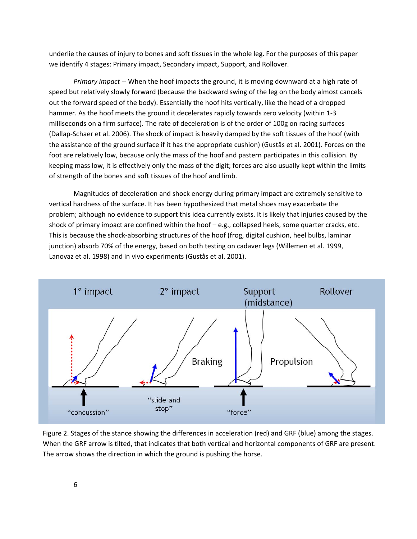underlie the causes of injury to bones and soft tissues in the whole leg. For the purposes of this paper we identify 4 stages: Primary impact, Secondary impact, Support, and Rollover.

*Primary impact ‐‐* When the hoof impacts the ground, it is moving downward at a high rate of speed but relatively slowly forward (because the backward swing of the leg on the body almost cancels out the forward speed of the body). Essentially the hoof hits vertically, like the head of a dropped hammer. As the hoof meets the ground it decelerates rapidly towards zero velocity (within 1-3 milliseconds on a firm surface). The rate of deceleration is of the order of 100g on racing surfaces (Dallap‐Schaer et al. 2006). The shock of impact is heavily damped by the soft tissues of the hoof (with the assistance of the ground surface if it has the appropriate cushion) (Gustås et al. 2001). Forces on the foot are relatively low, because only the mass of the hoof and pastern participates in this collision. By keeping mass low, it is effectively only the mass of the digit; forces are also usually kept within the limits of strength of the bones and soft tissues of the hoof and limb.

Magnitudes of deceleration and shock energy during primary impact are extremely sensitive to vertical hardness of the surface. It has been hypothesized that metal shoes may exacerbate the problem; although no evidence to support this idea currently exists. It is likely that injuries caused by the shock of primary impact are confined within the hoof – e.g., collapsed heels, some quarter cracks, etc. This is because the shock‐absorbing structures of the hoof (frog, digital cushion, heel bulbs, laminar junction) absorb 70% of the energy, based on both testing on cadaver legs (Willemen et al. 1999, Lanovaz et al. 1998) and in vivo experiments (Gustås et al. 2001).



Figure 2. Stages of the stance showing the differences in acceleration (red) and GRF (blue) among the stages. When the GRF arrow is tilted, that indicates that both vertical and horizontal components of GRF are present. The arrow shows the direction in which the ground is pushing the horse.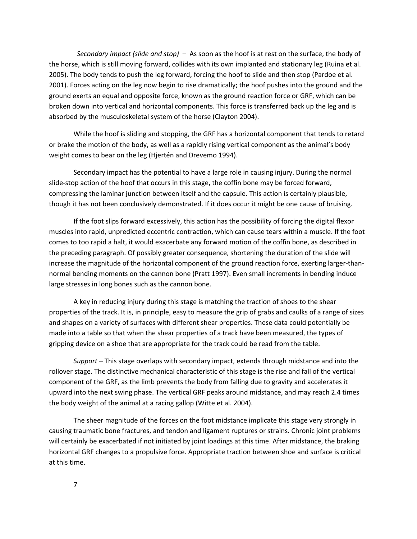*Secondary impact (slide and stop) –* As soon as the hoof is at rest on the surface, the body of the horse, which is still moving forward, collides with its own implanted and stationary leg (Ruina et al. 2005). The body tends to push the leg forward, forcing the hoof to slide and then stop (Pardoe et al. 2001). Forces acting on the leg now begin to rise dramatically; the hoof pushes into the ground and the ground exerts an equal and opposite force, known as the ground reaction force or GRF, which can be broken down into vertical and horizontal components. This force is transferred back up the leg and is absorbed by the musculoskeletal system of the horse (Clayton 2004).

While the hoof is sliding and stopping, the GRF has a horizontal component that tends to retard or brake the motion of the body, as well as a rapidly rising vertical component as the animal's body weight comes to bear on the leg (Hjertén and Drevemo 1994).

Secondary impact has the potential to have a large role in causing injury. During the normal slide-stop action of the hoof that occurs in this stage, the coffin bone may be forced forward, compressing the laminar junction between itself and the capsule. This action is certainly plausible, though it has not been conclusively demonstrated. If it does occur it might be one cause of bruising.

If the foot slips forward excessively, this action has the possibility of forcing the digital flexor muscles into rapid, unpredicted eccentric contraction, which can cause tears within a muscle. If the foot comes to too rapid a halt, it would exacerbate any forward motion of the coffin bone, as described in the preceding paragraph. Of possibly greater consequence, shortening the duration of the slide will increase the magnitude of the horizontal component of the ground reaction force, exerting larger-thannormal bending moments on the cannon bone (Pratt 1997). Even small increments in bending induce large stresses in long bones such as the cannon bone.

A key in reducing injury during this stage is matching the traction of shoes to the shear properties of the track. It is, in principle, easy to measure the grip of grabs and caulks of a range of sizes and shapes on a variety of surfaces with different shear properties. These data could potentially be made into a table so that when the shear properties of a track have been measured, the types of gripping device on a shoe that are appropriate for the track could be read from the table.

*Support –* This stage overlaps with secondary impact, extends through midstance and into the rollover stage. The distinctive mechanical characteristic of this stage is the rise and fall of the vertical component of the GRF, as the limb prevents the body from falling due to gravity and accelerates it upward into the next swing phase. The vertical GRF peaks around midstance, and may reach 2.4 times the body weight of the animal at a racing gallop (Witte et al. 2004).

The sheer magnitude of the forces on the foot midstance implicate this stage very strongly in causing traumatic bone fractures, and tendon and ligament ruptures or strains. Chronic joint problems will certainly be exacerbated if not initiated by joint loadings at this time. After midstance, the braking horizontal GRF changes to a propulsive force. Appropriate traction between shoe and surface is critical at this time.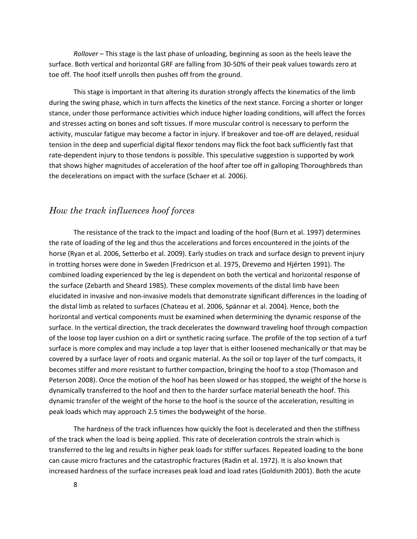*Rollover –* This stage is the last phase of unloading, beginning as soon as the heels leave the surface. Both vertical and horizontal GRF are falling from 30‐50% of their peak values towards zero at toe off. The hoof itself unrolls then pushes off from the ground.

This stage is important in that altering its duration strongly affects the kinematics of the limb during the swing phase, which in turn affects the kinetics of the next stance. Forcing a shorter or longer stance, under those performance activities which induce higher loading conditions, will affect the forces and stresses acting on bones and soft tissues. If more muscular control is necessary to perform the activity, muscular fatigue may become a factor in injury. If breakover and toe-off are delayed, residual tension in the deep and superficial digital flexor tendons may flick the foot back sufficiently fast that rate-dependent injury to those tendons is possible. This speculative suggestion is supported by work that shows higher magnitudes of acceleration of the hoof after toe off in galloping Thoroughbreds than the decelerations on impact with the surface (Schaer et al. 2006).

# *How the track influences hoof forces*

The resistance of the track to the impact and loading of the hoof (Burn et al. 1997) determines the rate of loading of the leg and thus the accelerations and forces encountered in the joints of the horse (Ryan et al. 2006, Setterbo et al. 2009). Early studies on track and surface design to prevent injury in trotting horses were done in Sweden (Fredricson et al. 1975, Drevemo and Hjérten 1991). The combined loading experienced by the leg is dependent on both the vertical and horizontal response of the surface (Zebarth and Sheard 1985). These complex movements of the distal limb have been elucidated in invasive and non‐invasive models that demonstrate significant differences in the loading of the distal limb as related to surfaces (Chateau et al. 2006, Spännar et al. 2004). Hence, both the horizontal and vertical components must be examined when determining the dynamic response of the surface. In the vertical direction, the track decelerates the downward traveling hoof through compaction of the loose top layer cushion on a dirt or synthetic racing surface. The profile of the top section of a turf surface is more complex and may include a top layer that is either loosened mechanically or that may be covered by a surface layer of roots and organic material. As the soil or top layer of the turf compacts, it becomes stiffer and more resistant to further compaction, bringing the hoof to a stop (Thomason and Peterson 2008). Once the motion of the hoof has been slowed or has stopped, the weight of the horse is dynamically transferred to the hoof and then to the harder surface material beneath the hoof. This dynamic transfer of the weight of the horse to the hoof is the source of the acceleration, resulting in peak loads which may approach 2.5 times the bodyweight of the horse.

The hardness of the track influences how quickly the foot is decelerated and then the stiffness of the track when the load is being applied. This rate of deceleration controls the strain which is transferred to the leg and results in higher peak loads for stiffer surfaces. Repeated loading to the bone can cause micro fractures and the catastrophic fractures (Radin et al. 1972). It is also known that increased hardness of the surface increases peak load and load rates (Goldsmith 2001). Both the acute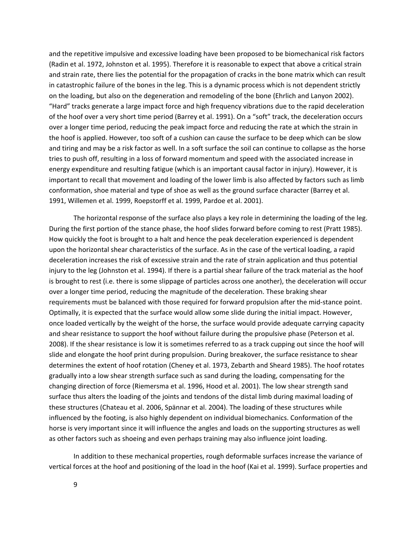and the repetitive impulsive and excessive loading have been proposed to be biomechanical risk factors (Radin et al. 1972, Johnston et al. 1995). Therefore it is reasonable to expect that above a critical strain and strain rate, there lies the potential for the propagation of cracks in the bone matrix which can result in catastrophic failure of the bones in the leg. This is a dynamic process which is not dependent strictly on the loading, but also on the degeneration and remodeling of the bone (Ehrlich and Lanyon 2002). "Hard" tracks generate a large impact force and high frequency vibrations due to the rapid deceleration of the hoof over a very short time period (Barrey et al. 1991). On a "soft" track, the deceleration occurs over a longer time period, reducing the peak impact force and reducing the rate at which the strain in the hoof is applied. However, too soft of a cushion can cause the surface to be deep which can be slow and tiring and may be a risk factor as well. In a soft surface the soil can continue to collapse as the horse tries to push off, resulting in a loss of forward momentum and speed with the associated increase in energy expenditure and resulting fatigue (which is an important causal factor in injury). However, it is important to recall that movement and loading of the lower limb is also affected by factors such as limb conformation, shoe material and type of shoe as well as the ground surface character (Barrey et al. 1991, Willemen et al. 1999, Roepstorff et al. 1999, Pardoe et al. 2001).

The horizontal response of the surface also plays a key role in determining the loading of the leg. During the first portion of the stance phase, the hoof slides forward before coming to rest (Pratt 1985). How quickly the foot is brought to a halt and hence the peak deceleration experienced is dependent upon the horizontal shear characteristics of the surface. As in the case of the vertical loading, a rapid deceleration increases the risk of excessive strain and the rate of strain application and thus potential injury to the leg (Johnston et al. 1994). If there is a partial shear failure of the track material as the hoof is brought to rest (i.e. there is some slippage of particles across one another), the deceleration will occur over a longer time period, reducing the magnitude of the deceleration. These braking shear requirements must be balanced with those required for forward propulsion after the mid‐stance point. Optimally, it is expected that the surface would allow some slide during the initial impact. However, once loaded vertically by the weight of the horse, the surface would provide adequate carrying capacity and shear resistance to support the hoof without failure during the propulsive phase (Peterson et al. 2008). If the shear resistance is low it is sometimes referred to as a track cupping out since the hoof will slide and elongate the hoof print during propulsion. During breakover, the surface resistance to shear determines the extent of hoof rotation (Cheney et al. 1973, Zebarth and Sheard 1985). The hoof rotates gradually into a low shear strength surface such as sand during the loading, compensating for the changing direction of force (Riemersma et al. 1996, Hood et al. 2001). The low shear strength sand surface thus alters the loading of the joints and tendons of the distal limb during maximal loading of these structures (Chateau et al. 2006, Spännar et al. 2004). The loading of these structures while influenced by the footing, is also highly dependent on individual biomechanics. Conformation of the horse is very important since it will influence the angles and loads on the supporting structures as well as other factors such as shoeing and even perhaps training may also influence joint loading.

In addition to these mechanical properties, rough deformable surfaces increase the variance of vertical forces at the hoof and positioning of the load in the hoof (Kai et al. 1999). Surface properties and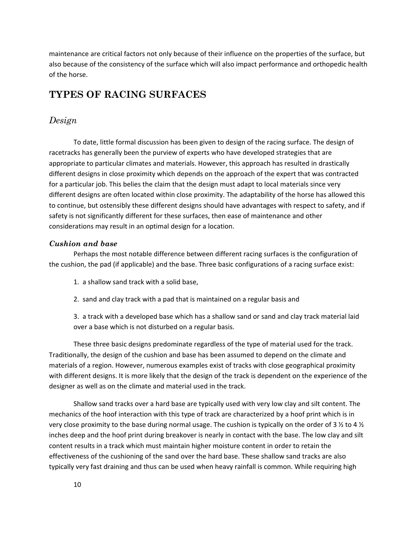maintenance are critical factors not only because of their influence on the properties of the surface, but also because of the consistency of the surface which will also impact performance and orthopedic health of the horse.

# **TYPES OF RACING SURFACES**

# *Design*

To date, little formal discussion has been given to design of the racing surface. The design of racetracks has generally been the purview of experts who have developed strategies that are appropriate to particular climates and materials. However, this approach has resulted in drastically different designs in close proximity which depends on the approach of the expert that was contracted for a particular job. This belies the claim that the design must adapt to local materials since very different designs are often located within close proximity. The adaptability of the horse has allowed this to continue, but ostensibly these different designs should have advantages with respect to safety, and if safety is not significantly different for these surfaces, then ease of maintenance and other considerations may result in an optimal design for a location.

#### *Cushion and base*

Perhaps the most notable difference between different racing surfaces is the configuration of the cushion, the pad (if applicable) and the base. Three basic configurations of a racing surface exist:

- 1. a shallow sand track with a solid base,
- 2. sand and clay track with a pad that is maintained on a regular basis and

3. a track with a developed base which has a shallow sand or sand and clay track material laid over a base which is not disturbed on a regular basis.

These three basic designs predominate regardless of the type of material used for the track. Traditionally, the design of the cushion and base has been assumed to depend on the climate and materials of a region. However, numerous examples exist of tracks with close geographical proximity with different designs. It is more likely that the design of the track is dependent on the experience of the designer as well as on the climate and material used in the track.

Shallow sand tracks over a hard base are typically used with very low clay and silt content. The mechanics of the hoof interaction with this type of track are characterized by a hoof print which is in very close proximity to the base during normal usage. The cushion is typically on the order of 3 ½ to 4 ½ inches deep and the hoof print during breakover is nearly in contact with the base. The low clay and silt content results in a track which must maintain higher moisture content in order to retain the effectiveness of the cushioning of the sand over the hard base. These shallow sand tracks are also typically very fast draining and thus can be used when heavy rainfall is common. While requiring high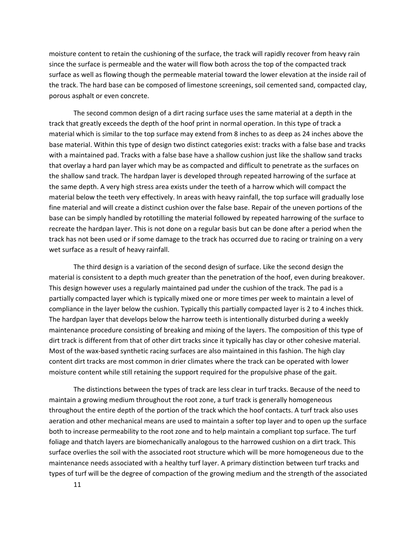moisture content to retain the cushioning of the surface, the track will rapidly recover from heavy rain since the surface is permeable and the water will flow both across the top of the compacted track surface as well as flowing though the permeable material toward the lower elevation at the inside rail of the track. The hard base can be composed of limestone screenings, soil cemented sand, compacted clay, porous asphalt or even concrete.

The second common design of a dirt racing surface uses the same material at a depth in the track that greatly exceeds the depth of the hoof print in normal operation. In this type of track a material which is similar to the top surface may extend from 8 inches to as deep as 24 inches above the base material. Within this type of design two distinct categories exist: tracks with a false base and tracks with a maintained pad. Tracks with a false base have a shallow cushion just like the shallow sand tracks that overlay a hard pan layer which may be as compacted and difficult to penetrate as the surfaces on the shallow sand track. The hardpan layer is developed through repeated harrowing of the surface at the same depth. A very high stress area exists under the teeth of a harrow which will compact the material below the teeth very effectively. In areas with heavy rainfall, the top surface will gradually lose fine material and will create a distinct cushion over the false base. Repair of the uneven portions of the base can be simply handled by rototilling the material followed by repeated harrowing of the surface to recreate the hardpan layer. This is not done on a regular basis but can be done after a period when the track has not been used or if some damage to the track has occurred due to racing or training on a very wet surface as a result of heavy rainfall.

The third design is a variation of the second design of surface. Like the second design the material is consistent to a depth much greater than the penetration of the hoof, even during breakover. This design however uses a regularly maintained pad under the cushion of the track. The pad is a partially compacted layer which is typically mixed one or more times per week to maintain a level of compliance in the layer below the cushion. Typically this partially compacted layer is 2 to 4 inches thick. The hardpan layer that develops below the harrow teeth is intentionally disturbed during a weekly maintenance procedure consisting of breaking and mixing of the layers. The composition of this type of dirt track is different from that of other dirt tracks since it typically has clay or other cohesive material. Most of the wax‐based synthetic racing surfaces are also maintained in this fashion. The high clay content dirt tracks are most common in drier climates where the track can be operated with lower moisture content while still retaining the support required for the propulsive phase of the gait.

The distinctions between the types of track are less clear in turf tracks. Because of the need to maintain a growing medium throughout the root zone, a turf track is generally homogeneous throughout the entire depth of the portion of the track which the hoof contacts. A turf track also uses aeration and other mechanical means are used to maintain a softer top layer and to open up the surface both to increase permeability to the root zone and to help maintain a compliant top surface. The turf foliage and thatch layers are biomechanically analogous to the harrowed cushion on a dirt track. This surface overlies the soil with the associated root structure which will be more homogeneous due to the maintenance needs associated with a healthy turf layer. A primary distinction between turf tracks and types of turf will be the degree of compaction of the growing medium and the strength of the associated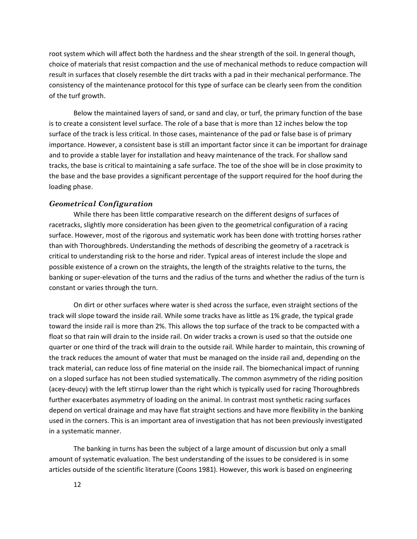root system which will affect both the hardness and the shear strength of the soil. In general though, choice of materials that resist compaction and the use of mechanical methods to reduce compaction will result in surfaces that closely resemble the dirt tracks with a pad in their mechanical performance. The consistency of the maintenance protocol for this type of surface can be clearly seen from the condition of the turf growth.

Below the maintained layers of sand, or sand and clay, or turf, the primary function of the base is to create a consistent level surface. The role of a base that is more than 12 inches below the top surface of the track is less critical. In those cases, maintenance of the pad or false base is of primary importance. However, a consistent base is still an important factor since it can be important for drainage and to provide a stable layer for installation and heavy maintenance of the track. For shallow sand tracks, the base is critical to maintaining a safe surface. The toe of the shoe will be in close proximity to the base and the base provides a significant percentage of the support required for the hoof during the loading phase.

#### *Geometrical Configuration*

While there has been little comparative research on the different designs of surfaces of racetracks, slightly more consideration has been given to the geometrical configuration of a racing surface. However, most of the rigorous and systematic work has been done with trotting horses rather than with Thoroughbreds. Understanding the methods of describing the geometry of a racetrack is critical to understanding risk to the horse and rider. Typical areas of interest include the slope and possible existence of a crown on the straights, the length of the straights relative to the turns, the banking or super‐elevation of the turns and the radius of the turns and whether the radius of the turn is constant or varies through the turn.

On dirt or other surfaces where water is shed across the surface, even straight sections of the track will slope toward the inside rail. While some tracks have as little as 1% grade, the typical grade toward the inside rail is more than 2%. This allows the top surface of the track to be compacted with a float so that rain will drain to the inside rail. On wider tracks a crown is used so that the outside one quarter or one third of the track will drain to the outside rail. While harder to maintain, this crowning of the track reduces the amount of water that must be managed on the inside rail and, depending on the track material, can reduce loss of fine material on the inside rail. The biomechanical impact of running on a sloped surface has not been studied systematically. The common asymmetry of the riding position (acey‐deucy) with the left stirrup lower than the right which is typically used for racing Thoroughbreds further exacerbates asymmetry of loading on the animal. In contrast most synthetic racing surfaces depend on vertical drainage and may have flat straight sections and have more flexibility in the banking used in the corners. This is an important area of investigation that has not been previously investigated in a systematic manner.

The banking in turns has been the subject of a large amount of discussion but only a small amount of systematic evaluation. The best understanding of the issues to be considered is in some articles outside of the scientific literature (Coons 1981). However, this work is based on engineering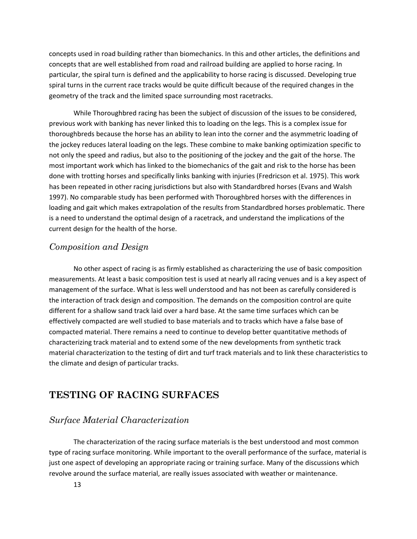concepts used in road building rather than biomechanics. In this and other articles, the definitions and concepts that are well established from road and railroad building are applied to horse racing. In particular, the spiral turn is defined and the applicability to horse racing is discussed. Developing true spiral turns in the current race tracks would be quite difficult because of the required changes in the geometry of the track and the limited space surrounding most racetracks.

While Thoroughbred racing has been the subject of discussion of the issues to be considered, previous work with banking has never linked this to loading on the legs. This is a complex issue for thoroughbreds because the horse has an ability to lean into the corner and the asymmetric loading of the jockey reduces lateral loading on the legs. These combine to make banking optimization specific to not only the speed and radius, but also to the positioning of the jockey and the gait of the horse. The most important work which has linked to the biomechanics of the gait and risk to the horse has been done with trotting horses and specifically links banking with injuries (Fredricson et al. 1975). This work has been repeated in other racing jurisdictions but also with Standardbred horses (Evans and Walsh 1997). No comparable study has been performed with Thoroughbred horses with the differences in loading and gait which makes extrapolation of the results from Standardbred horses problematic. There is a need to understand the optimal design of a racetrack, and understand the implications of the current design for the health of the horse.

# *Composition and Design*

No other aspect of racing is as firmly established as characterizing the use of basic composition measurements. At least a basic composition test is used at nearly all racing venues and is a key aspect of management of the surface. What is less well understood and has not been as carefully considered is the interaction of track design and composition. The demands on the composition control are quite different for a shallow sand track laid over a hard base. At the same time surfaces which can be effectively compacted are well studied to base materials and to tracks which have a false base of compacted material. There remains a need to continue to develop better quantitative methods of characterizing track material and to extend some of the new developments from synthetic track material characterization to the testing of dirt and turf track materials and to link these characteristics to the climate and design of particular tracks.

# **TESTING OF RACING SURFACES**

# *Surface Material Characterization*

The characterization of the racing surface materials is the best understood and most common type of racing surface monitoring. While important to the overall performance of the surface, material is just one aspect of developing an appropriate racing or training surface. Many of the discussions which revolve around the surface material, are really issues associated with weather or maintenance.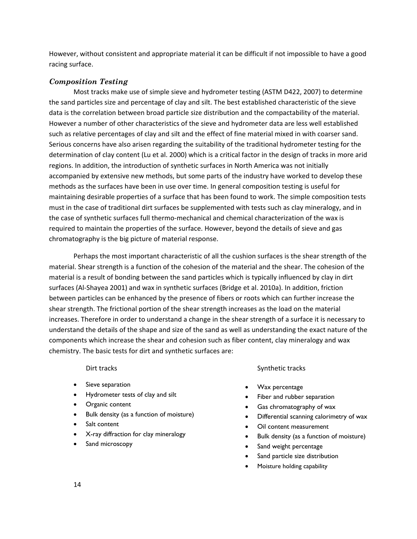However, without consistent and appropriate material it can be difficult if not impossible to have a good racing surface.

#### *Composition Testing*

Most tracks make use of simple sieve and hydrometer testing (ASTM D422, 2007) to determine the sand particles size and percentage of clay and silt. The best established characteristic of the sieve data is the correlation between broad particle size distribution and the compactability of the material. However a number of other characteristics of the sieve and hydrometer data are less well established such as relative percentages of clay and silt and the effect of fine material mixed in with coarser sand. Serious concerns have also arisen regarding the suitability of the traditional hydrometer testing for the determination of clay content (Lu et al. 2000) which is a critical factor in the design of tracks in more arid regions. In addition, the introduction of synthetic surfaces in North America was not initially accompanied by extensive new methods, but some parts of the industry have worked to develop these methods as the surfaces have been in use over time. In general composition testing is useful for maintaining desirable properties of a surface that has been found to work. The simple composition tests must in the case of traditional dirt surfaces be supplemented with tests such as clay mineralogy, and in the case of synthetic surfaces full thermo-mechanical and chemical characterization of the wax is required to maintain the properties of the surface. However, beyond the details of sieve and gas chromatography is the big picture of material response.

Perhaps the most important characteristic of all the cushion surfaces is the shear strength of the material. Shear strength is a function of the cohesion of the material and the shear. The cohesion of the material is a result of bonding between the sand particles which is typically influenced by clay in dirt surfaces (Al‐Shayea 2001) and wax in synthetic surfaces (Bridge et al. 2010a). In addition, friction between particles can be enhanced by the presence of fibers or roots which can further increase the shear strength. The frictional portion of the shear strength increases as the load on the material increases. Therefore in order to understand a change in the shear strength of a surface it is necessary to understand the details of the shape and size of the sand as well as understanding the exact nature of the components which increase the shear and cohesion such as fiber content, clay mineralogy and wax chemistry. The basic tests for dirt and synthetic surfaces are:

#### Dirt tracks

- Sieve separation
- Hydrometer tests of clay and silt
- Organic content
- Bulk density (as a function of moisture)
- Salt content
- X-ray diffraction for clay mineralogy
- Sand microscopy

#### Synthetic tracks

- Wax percentage
- Fiber and rubber separation
- Gas chromatography of wax
- Differential scanning calorimetry of wax
- Oil content measurement
- Bulk density (as a function of moisture)
- Sand weight percentage
- Sand particle size distribution
- Moisture holding capability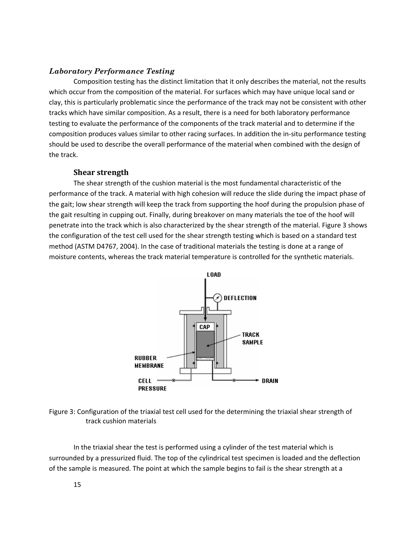#### *Laboratory Performance Testing*

Composition testing has the distinct limitation that it only describes the material, not the results which occur from the composition of the material. For surfaces which may have unique local sand or clay, this is particularly problematic since the performance of the track may not be consistent with other tracks which have similar composition. As a result, there is a need for both laboratory performance testing to evaluate the performance of the components of the track material and to determine if the composition produces values similar to other racing surfaces. In addition the in‐situ performance testing should be used to describe the overall performance of the material when combined with the design of the track.

#### **Shear strength**

The shear strength of the cushion material is the most fundamental characteristic of the performance of the track. A material with high cohesion will reduce the slide during the impact phase of the gait; low shear strength will keep the track from supporting the hoof during the propulsion phase of the gait resulting in cupping out. Finally, during breakover on many materials the toe of the hoof will penetrate into the track which is also characterized by the shear strength of the material. Figure 3 shows the configuration of the test cell used for the shear strength testing which is based on a standard test method (ASTM D4767, 2004). In the case of traditional materials the testing is done at a range of moisture contents, whereas the track material temperature is controlled for the synthetic materials.



Figure 3: Configuration of the triaxial test cell used for the determining the triaxial shear strength of track cushion materials

In the triaxial shear the test is performed using a cylinder of the test material which is surrounded by a pressurized fluid. The top of the cylindrical test specimen is loaded and the deflection of the sample is measured. The point at which the sample begins to fail is the shear strength at a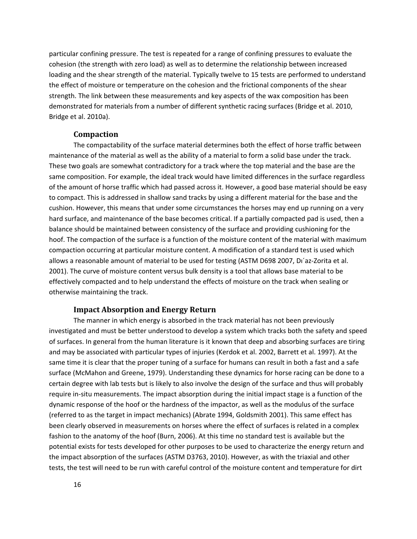particular confining pressure. The test is repeated for a range of confining pressures to evaluate the cohesion (the strength with zero load) as well as to determine the relationship between increased loading and the shear strength of the material. Typically twelve to 15 tests are performed to understand the effect of moisture or temperature on the cohesion and the frictional components of the shear strength. The link between these measurements and key aspects of the wax composition has been demonstrated for materials from a number of different synthetic racing surfaces (Bridge et al. 2010, Bridge et al. 2010a).

#### **Compaction**

The compactability of the surface material determines both the effect of horse traffic between maintenance of the material as well as the ability of a material to form a solid base under the track. These two goals are somewhat contradictory for a track where the top material and the base are the same composition. For example, the ideal track would have limited differences in the surface regardless of the amount of horse traffic which had passed across it. However, a good base material should be easy to compact. This is addressed in shallow sand tracks by using a different material for the base and the cushion. However, this means that under some circumstances the horses may end up running on a very hard surface, and maintenance of the base becomes critical. If a partially compacted pad is used, then a balance should be maintained between consistency of the surface and providing cushioning for the hoof. The compaction of the surface is a function of the moisture content of the material with maximum compaction occurring at particular moisture content. A modification of a standard test is used which allows a reasonable amount of material to be used for testing (ASTM D698 2007, Dı´az‐Zorita et al. 2001). The curve of moisture content versus bulk density is a tool that allows base material to be effectively compacted and to help understand the effects of moisture on the track when sealing or otherwise maintaining the track.

#### **Impact Absorption and Energy Return**

The manner in which energy is absorbed in the track material has not been previously investigated and must be better understood to develop a system which tracks both the safety and speed of surfaces. In general from the human literature is it known that deep and absorbing surfaces are tiring and may be associated with particular types of injuries (Kerdok et al. 2002, Barrett et al. 1997). At the same time it is clear that the proper tuning of a surface for humans can result in both a fast and a safe surface (McMahon and Greene, 1979). Understanding these dynamics for horse racing can be done to a certain degree with lab tests but is likely to also involve the design of the surface and thus will probably require in‐situ measurements. The impact absorption during the initial impact stage is a function of the dynamic response of the hoof or the hardness of the impactor, as well as the modulus of the surface (referred to as the target in impact mechanics) (Abrate 1994, Goldsmith 2001). This same effect has been clearly observed in measurements on horses where the effect of surfaces is related in a complex fashion to the anatomy of the hoof (Burn, 2006). At this time no standard test is available but the potential exists for tests developed for other purposes to be used to characterize the energy return and the impact absorption of the surfaces (ASTM D3763, 2010). However, as with the triaxial and other tests, the test will need to be run with careful control of the moisture content and temperature for dirt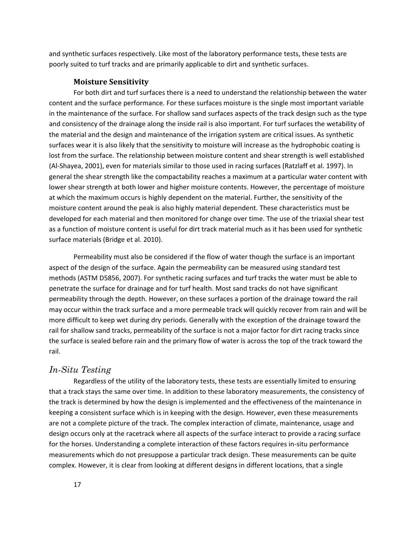and synthetic surfaces respectively. Like most of the laboratory performance tests, these tests are poorly suited to turf tracks and are primarily applicable to dirt and synthetic surfaces.

#### **Moisture Sensitivity**

For both dirt and turf surfaces there is a need to understand the relationship between the water content and the surface performance. For these surfaces moisture is the single most important variable in the maintenance of the surface. For shallow sand surfaces aspects of the track design such as the type and consistency of the drainage along the inside rail is also important. For turf surfaces the wetability of the material and the design and maintenance of the irrigation system are critical issues. As synthetic surfaces wear it is also likely that the sensitivity to moisture will increase as the hydrophobic coating is lost from the surface. The relationship between moisture content and shear strength is well established (Al‐Shayea, 2001), even for materials similar to those used in racing surfaces (Ratzlaff et al. 1997). In general the shear strength like the compactability reaches a maximum at a particular water content with lower shear strength at both lower and higher moisture contents. However, the percentage of moisture at which the maximum occurs is highly dependent on the material. Further, the sensitivity of the moisture content around the peak is also highly material dependent. These characteristics must be developed for each material and then monitored for change over time. The use of the triaxial shear test as a function of moisture content is useful for dirt track material much as it has been used for synthetic surface materials (Bridge et al. 2010).

Permeability must also be considered if the flow of water though the surface is an important aspect of the design of the surface. Again the permeability can be measured using standard test methods (ASTM D5856, 2007). For synthetic racing surfaces and turf tracks the water must be able to penetrate the surface for drainage and for turf health. Most sand tracks do not have significant permeability through the depth. However, on these surfaces a portion of the drainage toward the rail may occur within the track surface and a more permeable track will quickly recover from rain and will be more difficult to keep wet during dry periods. Generally with the exception of the drainage toward the rail for shallow sand tracks, permeability of the surface is not a major factor for dirt racing tracks since the surface is sealed before rain and the primary flow of water is across the top of the track toward the rail.

### *In-Situ Testing*

Regardless of the utility of the laboratory tests, these tests are essentially limited to ensuring that a track stays the same over time. In addition to these laboratory measurements, the consistency of the track is determined by how the design is implemented and the effectiveness of the maintenance in keeping a consistent surface which is in keeping with the design. However, even these measurements are not a complete picture of the track. The complex interaction of climate, maintenance, usage and design occurs only at the racetrack where all aspects of the surface interact to provide a racing surface for the horses. Understanding a complete interaction of these factors requires in‐situ performance measurements which do not presuppose a particular track design. These measurements can be quite complex. However, it is clear from looking at different designs in different locations, that a single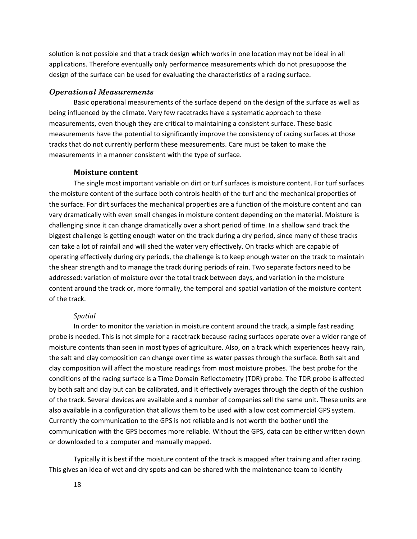solution is not possible and that a track design which works in one location may not be ideal in all applications. Therefore eventually only performance measurements which do not presuppose the design of the surface can be used for evaluating the characteristics of a racing surface.

#### *Operational Measurements*

Basic operational measurements of the surface depend on the design of the surface as well as being influenced by the climate. Very few racetracks have a systematic approach to these measurements, even though they are critical to maintaining a consistent surface. These basic measurements have the potential to significantly improve the consistency of racing surfaces at those tracks that do not currently perform these measurements. Care must be taken to make the measurements in a manner consistent with the type of surface.

#### **Moisture content**

The single most important variable on dirt or turf surfaces is moisture content. For turf surfaces the moisture content of the surface both controls health of the turf and the mechanical properties of the surface. For dirt surfaces the mechanical properties are a function of the moisture content and can vary dramatically with even small changes in moisture content depending on the material. Moisture is challenging since it can change dramatically over a short period of time. In a shallow sand track the biggest challenge is getting enough water on the track during a dry period, since many of these tracks can take a lot of rainfall and will shed the water very effectively. On tracks which are capable of operating effectively during dry periods, the challenge is to keep enough water on the track to maintain the shear strength and to manage the track during periods of rain. Two separate factors need to be addressed: variation of moisture over the total track between days, and variation in the moisture content around the track or, more formally, the temporal and spatial variation of the moisture content of the track.

#### *Spatial*

In order to monitor the variation in moisture content around the track, a simple fast reading probe is needed. This is not simple for a racetrack because racing surfaces operate over a wider range of moisture contents than seen in most types of agriculture. Also, on a track which experiences heavy rain, the salt and clay composition can change over time as water passes through the surface. Both salt and clay composition will affect the moisture readings from most moisture probes. The best probe for the conditions of the racing surface is a Time Domain Reflectometry (TDR) probe. The TDR probe is affected by both salt and clay but can be calibrated, and it effectively averages through the depth of the cushion of the track. Several devices are available and a number of companies sell the same unit. These units are also available in a configuration that allows them to be used with a low cost commercial GPS system. Currently the communication to the GPS is not reliable and is not worth the bother until the communication with the GPS becomes more reliable. Without the GPS, data can be either written down or downloaded to a computer and manually mapped.

Typically it is best if the moisture content of the track is mapped after training and after racing. This gives an idea of wet and dry spots and can be shared with the maintenance team to identify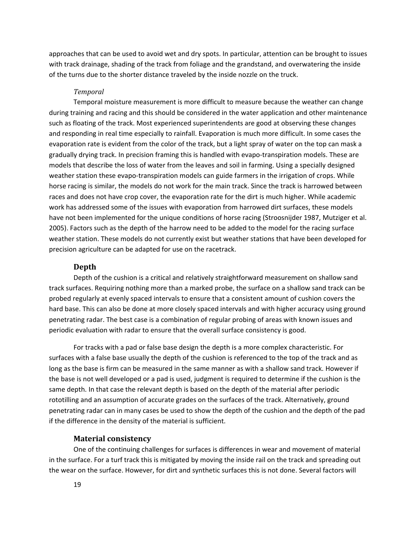approaches that can be used to avoid wet and dry spots. In particular, attention can be brought to issues with track drainage, shading of the track from foliage and the grandstand, and overwatering the inside of the turns due to the shorter distance traveled by the inside nozzle on the truck.

#### *Temporal*

Temporal moisture measurement is more difficult to measure because the weather can change during training and racing and this should be considered in the water application and other maintenance such as floating of the track. Most experienced superintendents are good at observing these changes and responding in real time especially to rainfall. Evaporation is much more difficult. In some cases the evaporation rate is evident from the color of the track, but a light spray of water on the top can mask a gradually drying track. In precision framing this is handled with evapo-transpiration models. These are models that describe the loss of water from the leaves and soil in farming. Using a specially designed weather station these evapo-transpiration models can guide farmers in the irrigation of crops. While horse racing is similar, the models do not work for the main track. Since the track is harrowed between races and does not have crop cover, the evaporation rate for the dirt is much higher. While academic work has addressed some of the issues with evaporation from harrowed dirt surfaces, these models have not been implemented for the unique conditions of horse racing (Stroosnijder 1987, Mutziger et al. 2005). Factors such as the depth of the harrow need to be added to the model for the racing surface weather station. These models do not currently exist but weather stations that have been developed for precision agriculture can be adapted for use on the racetrack.

#### **Depth**

Depth of the cushion is a critical and relatively straightforward measurement on shallow sand track surfaces. Requiring nothing more than a marked probe, the surface on a shallow sand track can be probed regularly at evenly spaced intervals to ensure that a consistent amount of cushion covers the hard base. This can also be done at more closely spaced intervals and with higher accuracy using ground penetrating radar. The best case is a combination of regular probing of areas with known issues and periodic evaluation with radar to ensure that the overall surface consistency is good.

For tracks with a pad or false base design the depth is a more complex characteristic. For surfaces with a false base usually the depth of the cushion is referenced to the top of the track and as long as the base is firm can be measured in the same manner as with a shallow sand track. However if the base is not well developed or a pad is used, judgment is required to determine if the cushion is the same depth. In that case the relevant depth is based on the depth of the material after periodic rototilling and an assumption of accurate grades on the surfaces of the track. Alternatively, ground penetrating radar can in many cases be used to show the depth of the cushion and the depth of the pad if the difference in the density of the material is sufficient.

#### **Material consistency**

One of the continuing challenges for surfaces is differences in wear and movement of material in the surface. For a turf track this is mitigated by moving the inside rail on the track and spreading out the wear on the surface. However, for dirt and synthetic surfaces this is not done. Several factors will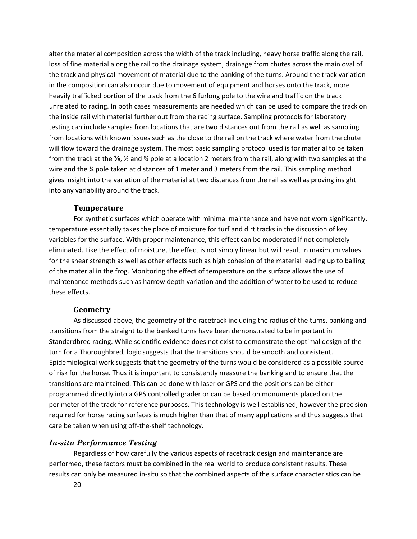alter the material composition across the width of the track including, heavy horse traffic along the rail, loss of fine material along the rail to the drainage system, drainage from chutes across the main oval of the track and physical movement of material due to the banking of the turns. Around the track variation in the composition can also occur due to movement of equipment and horses onto the track, more heavily trafficked portion of the track from the 6 furlong pole to the wire and traffic on the track unrelated to racing. In both cases measurements are needed which can be used to compare the track on the inside rail with material further out from the racing surface. Sampling protocols for laboratory testing can include samples from locations that are two distances out from the rail as well as sampling from locations with known issues such as the close to the rail on the track where water from the chute will flow toward the drainage system. The most basic sampling protocol used is for material to be taken from the track at the  $\frac{1}{8}$ ,  $\frac{1}{2}$  and  $\frac{1}{2}$  pole at a location 2 meters from the rail, along with two samples at the wire and the ¼ pole taken at distances of 1 meter and 3 meters from the rail. This sampling method gives insight into the variation of the material at two distances from the rail as well as proving insight into any variability around the track.

#### **Temperature**

For synthetic surfaces which operate with minimal maintenance and have not worn significantly, temperature essentially takes the place of moisture for turf and dirt tracks in the discussion of key variables for the surface. With proper maintenance, this effect can be moderated if not completely eliminated. Like the effect of moisture, the effect is not simply linear but will result in maximum values for the shear strength as well as other effects such as high cohesion of the material leading up to balling of the material in the frog. Monitoring the effect of temperature on the surface allows the use of maintenance methods such as harrow depth variation and the addition of water to be used to reduce these effects.

#### **Geometry**

As discussed above, the geometry of the racetrack including the radius of the turns, banking and transitions from the straight to the banked turns have been demonstrated to be important in Standardbred racing. While scientific evidence does not exist to demonstrate the optimal design of the turn for a Thoroughbred, logic suggests that the transitions should be smooth and consistent. Epidemiological work suggests that the geometry of the turns would be considered as a possible source of risk for the horse. Thus it is important to consistently measure the banking and to ensure that the transitions are maintained. This can be done with laser or GPS and the positions can be either programmed directly into a GPS controlled grader or can be based on monuments placed on the perimeter of the track for reference purposes. This technology is well established, however the precision required for horse racing surfaces is much higher than that of many applications and thus suggests that care be taken when using off-the-shelf technology.

#### *In-situ Performance Testing*

Regardless of how carefully the various aspects of racetrack design and maintenance are performed, these factors must be combined in the real world to produce consistent results. These results can only be measured in‐situ so that the combined aspects of the surface characteristics can be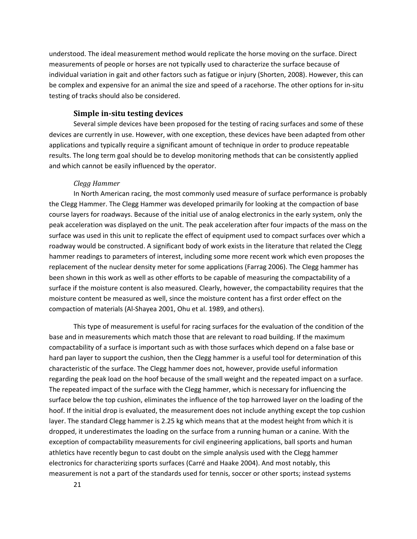understood. The ideal measurement method would replicate the horse moving on the surface. Direct measurements of people or horses are not typically used to characterize the surface because of individual variation in gait and other factors such as fatigue or injury (Shorten, 2008). However, this can be complex and expensive for an animal the size and speed of a racehorse. The other options for in‐situ testing of tracks should also be considered.

#### **Simple insitu testing devices**

Several simple devices have been proposed for the testing of racing surfaces and some of these devices are currently in use. However, with one exception, these devices have been adapted from other applications and typically require a significant amount of technique in order to produce repeatable results. The long term goal should be to develop monitoring methods that can be consistently applied and which cannot be easily influenced by the operator.

#### *Clegg Hammer*

In North American racing, the most commonly used measure of surface performance is probably the Clegg Hammer. The Clegg Hammer was developed primarily for looking at the compaction of base course layers for roadways. Because of the initial use of analog electronics in the early system, only the peak acceleration was displayed on the unit. The peak acceleration after four impacts of the mass on the surface was used in this unit to replicate the effect of equipment used to compact surfaces over which a roadway would be constructed. A significant body of work exists in the literature that related the Clegg hammer readings to parameters of interest, including some more recent work which even proposes the replacement of the nuclear density meter for some applications (Farrag 2006). The Clegg hammer has been shown in this work as well as other efforts to be capable of measuring the compactability of a surface if the moisture content is also measured. Clearly, however, the compactability requires that the moisture content be measured as well, since the moisture content has a first order effect on the compaction of materials (Al‐Shayea 2001, Ohu et al. 1989, and others).

This type of measurement is useful for racing surfaces for the evaluation of the condition of the base and in measurements which match those that are relevant to road building. If the maximum compactability of a surface is important such as with those surfaces which depend on a false base or hard pan layer to support the cushion, then the Clegg hammer is a useful tool for determination of this characteristic of the surface. The Clegg hammer does not, however, provide useful information regarding the peak load on the hoof because of the small weight and the repeated impact on a surface. The repeated impact of the surface with the Clegg hammer, which is necessary for influencing the surface below the top cushion, eliminates the influence of the top harrowed layer on the loading of the hoof. If the initial drop is evaluated, the measurement does not include anything except the top cushion layer. The standard Clegg hammer is 2.25 kg which means that at the modest height from which it is dropped, it underestimates the loading on the surface from a running human or a canine. With the exception of compactability measurements for civil engineering applications, ball sports and human athletics have recently begun to cast doubt on the simple analysis used with the Clegg hammer electronics for characterizing sports surfaces (Carré and Haake 2004). And most notably, this measurement is not a part of the standards used for tennis, soccer or other sports; instead systems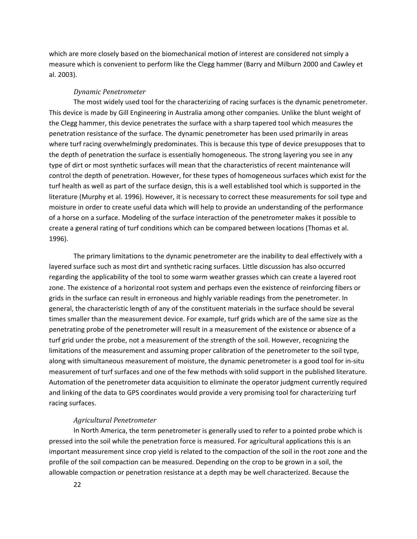which are more closely based on the biomechanical motion of interest are considered not simply a measure which is convenient to perform like the Clegg hammer (Barry and Milburn 2000 and Cawley et al. 2003).

#### *Dynamic Penetrometer*

The most widely used tool for the characterizing of racing surfaces is the dynamic penetrometer. This device is made by Gill Engineering in Australia among other companies. Unlike the blunt weight of the Clegg hammer, this device penetrates the surface with a sharp tapered tool which measures the penetration resistance of the surface. The dynamic penetrometer has been used primarily in areas where turf racing overwhelmingly predominates. This is because this type of device presupposes that to the depth of penetration the surface is essentially homogeneous. The strong layering you see in any type of dirt or most synthetic surfaces will mean that the characteristics of recent maintenance will control the depth of penetration. However, for these types of homogeneous surfaces which exist for the turf health as well as part of the surface design, this is a well established tool which is supported in the literature (Murphy et al. 1996). However, it is necessary to correct these measurements for soil type and moisture in order to create useful data which will help to provide an understanding of the performance of a horse on a surface. Modeling of the surface interaction of the penetrometer makes it possible to create a general rating of turf conditions which can be compared between locations (Thomas et al. 1996).

The primary limitations to the dynamic penetrometer are the inability to deal effectively with a layered surface such as most dirt and synthetic racing surfaces. Little discussion has also occurred regarding the applicability of the tool to some warm weather grasses which can create a layered root zone. The existence of a horizontal root system and perhaps even the existence of reinforcing fibers or grids in the surface can result in erroneous and highly variable readings from the penetrometer. In general, the characteristic length of any of the constituent materials in the surface should be several times smaller than the measurement device. For example, turf grids which are of the same size as the penetrating probe of the penetrometer will result in a measurement of the existence or absence of a turf grid under the probe, not a measurement of the strength of the soil. However, recognizing the limitations of the measurement and assuming proper calibration of the penetrometer to the soil type, along with simultaneous measurement of moisture, the dynamic penetrometer is a good tool for in‐situ measurement of turf surfaces and one of the few methods with solid support in the published literature. Automation of the penetrometer data acquisition to eliminate the operator judgment currently required and linking of the data to GPS coordinates would provide a very promising tool for characterizing turf racing surfaces.

#### *Agricultural Penetrometer*

In North America, the term penetrometer is generally used to refer to a pointed probe which is pressed into the soil while the penetration force is measured. For agricultural applications this is an important measurement since crop yield is related to the compaction of the soil in the root zone and the profile of the soil compaction can be measured. Depending on the crop to be grown in a soil, the allowable compaction or penetration resistance at a depth may be well characterized. Because the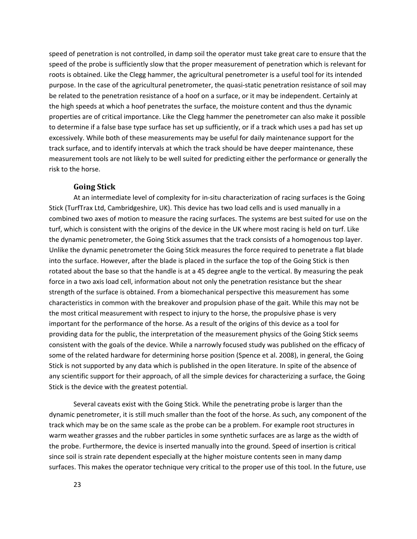speed of penetration is not controlled, in damp soil the operator must take great care to ensure that the speed of the probe is sufficiently slow that the proper measurement of penetration which is relevant for roots is obtained. Like the Clegg hammer, the agricultural penetrometer is a useful tool for its intended purpose. In the case of the agricultural penetrometer, the quasi-static penetration resistance of soil may be related to the penetration resistance of a hoof on a surface, or it may be independent. Certainly at the high speeds at which a hoof penetrates the surface, the moisture content and thus the dynamic properties are of critical importance. Like the Clegg hammer the penetrometer can also make it possible to determine if a false base type surface has set up sufficiently, or if a track which uses a pad has set up excessively. While both of these measurements may be useful for daily maintenance support for the track surface, and to identify intervals at which the track should be have deeper maintenance, these measurement tools are not likely to be well suited for predicting either the performance or generally the risk to the horse.

#### **Going Stick**

At an intermediate level of complexity for in‐situ characterization of racing surfaces is the Going Stick (TurfTrax Ltd, Cambridgeshire, UK). This device has two load cells and is used manually in a combined two axes of motion to measure the racing surfaces. The systems are best suited for use on the turf, which is consistent with the origins of the device in the UK where most racing is held on turf. Like the dynamic penetrometer, the Going Stick assumes that the track consists of a homogenous top layer. Unlike the dynamic penetrometer the Going Stick measures the force required to penetrate a flat blade into the surface. However, after the blade is placed in the surface the top of the Going Stick is then rotated about the base so that the handle is at a 45 degree angle to the vertical. By measuring the peak force in a two axis load cell, information about not only the penetration resistance but the shear strength of the surface is obtained. From a biomechanical perspective this measurement has some characteristics in common with the breakover and propulsion phase of the gait. While this may not be the most critical measurement with respect to injury to the horse, the propulsive phase is very important for the performance of the horse. As a result of the origins of this device as a tool for providing data for the public, the interpretation of the measurement physics of the Going Stick seems consistent with the goals of the device. While a narrowly focused study was published on the efficacy of some of the related hardware for determining horse position (Spence et al. 2008), in general, the Going Stick is not supported by any data which is published in the open literature. In spite of the absence of any scientific support for their approach, of all the simple devices for characterizing a surface, the Going Stick is the device with the greatest potential.

Several caveats exist with the Going Stick. While the penetrating probe is larger than the dynamic penetrometer, it is still much smaller than the foot of the horse. As such, any component of the track which may be on the same scale as the probe can be a problem. For example root structures in warm weather grasses and the rubber particles in some synthetic surfaces are as large as the width of the probe. Furthermore, the device is inserted manually into the ground. Speed of insertion is critical since soil is strain rate dependent especially at the higher moisture contents seen in many damp surfaces. This makes the operator technique very critical to the proper use of this tool. In the future, use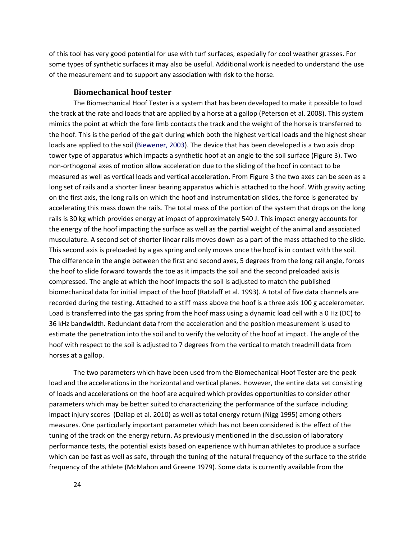of this tool has very good potential for use with turf surfaces, especially for cool weather grasses. For some types of synthetic surfaces it may also be useful. Additional work is needed to understand the use of the measurement and to support any association with risk to the horse.

#### **Biomechanical hoof tester**

The Biomechanical Hoof Tester is a system that has been developed to make it possible to load the track at the rate and loads that are applied by a horse at a gallop (Peterson et al. 2008). This system mimics the point at which the fore limb contacts the track and the weight of the horse is transferred to the hoof. This is the period of the gait during which both the highest vertical loads and the highest shear loads are applied to the soil (Biewener, 2003). The device that has been developed is a two axis drop tower type of apparatus which impacts a synthetic hoof at an angle to the soil surface (Figure 3). Two non‐orthogonal axes of motion allow acceleration due to the sliding of the hoof in contact to be measured as well as vertical loads and vertical acceleration. From Figure 3 the two axes can be seen as a long set of rails and a shorter linear bearing apparatus which is attached to the hoof. With gravity acting on the first axis, the long rails on which the hoof and instrumentation slides, the force is generated by accelerating this mass down the rails. The total mass of the portion of the system that drops on the long rails is 30 kg which provides energy at impact of approximately 540 J. This impact energy accounts for the energy of the hoof impacting the surface as well as the partial weight of the animal and associated musculature. A second set of shorter linear rails moves down as a part of the mass attached to the slide. This second axis is preloaded by a gas spring and only moves once the hoof is in contact with the soil. The difference in the angle between the first and second axes, 5 degrees from the long rail angle, forces the hoof to slide forward towards the toe as it impacts the soil and the second preloaded axis is compressed. The angle at which the hoof impacts the soil is adjusted to match the published biomechanical data for initial impact of the hoof (Ratzlaff et al. 1993). A total of five data channels are recorded during the testing. Attached to a stiff mass above the hoof is a three axis 100 g accelerometer. Load is transferred into the gas spring from the hoof mass using a dynamic load cell with a 0 Hz (DC) to 36 kHz bandwidth. Redundant data from the acceleration and the position measurement is used to estimate the penetration into the soil and to verify the velocity of the hoof at impact. The angle of the hoof with respect to the soil is adjusted to 7 degrees from the vertical to match treadmill data from horses at a gallop.

The two parameters which have been used from the Biomechanical Hoof Tester are the peak load and the accelerations in the horizontal and vertical planes. However, the entire data set consisting of loads and accelerations on the hoof are acquired which provides opportunities to consider other parameters which may be better suited to characterizing the performance of the surface including impact injury scores (Dallap et al. 2010) as well as total energy return (Nigg 1995) among others measures. One particularly important parameter which has not been considered is the effect of the tuning of the track on the energy return. As previously mentioned in the discussion of laboratory performance tests, the potential exists based on experience with human athletes to produce a surface which can be fast as well as safe, through the tuning of the natural frequency of the surface to the stride frequency of the athlete (McMahon and Greene 1979). Some data is currently available from the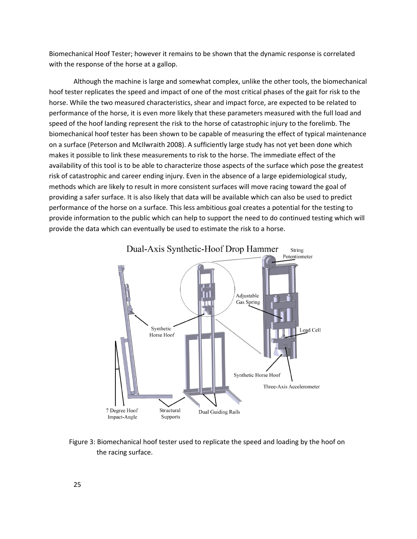Biomechanical Hoof Tester; however it remains to be shown that the dynamic response is correlated with the response of the horse at a gallop.

Although the machine is large and somewhat complex, unlike the other tools, the biomechanical hoof tester replicates the speed and impact of one of the most critical phases of the gait for risk to the horse. While the two measured characteristics, shear and impact force, are expected to be related to performance of the horse, it is even more likely that these parameters measured with the full load and speed of the hoof landing represent the risk to the horse of catastrophic injury to the forelimb. The biomechanical hoof tester has been shown to be capable of measuring the effect of typical maintenance on a surface (Peterson and McIlwraith 2008). A sufficiently large study has not yet been done which makes it possible to link these measurements to risk to the horse. The immediate effect of the availability of this tool is to be able to characterize those aspects of the surface which pose the greatest risk of catastrophic and career ending injury. Even in the absence of a large epidemiological study, methods which are likely to result in more consistent surfaces will move racing toward the goal of providing a safer surface. It is also likely that data will be available which can also be used to predict performance of the horse on a surface. This less ambitious goal creates a potential for the testing to provide information to the public which can help to support the need to do continued testing which will provide the data which can eventually be used to estimate the risk to a horse.



Figure 3: Biomechanical hoof tester used to replicate the speed and loading by the hoof on the racing surface.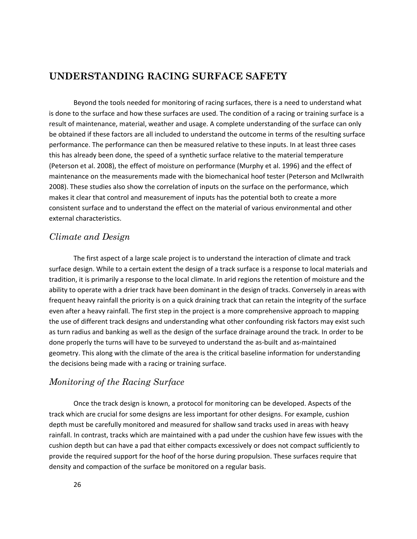# **UNDERSTANDING RACING SURFACE SAFETY**

Beyond the tools needed for monitoring of racing surfaces, there is a need to understand what is done to the surface and how these surfaces are used. The condition of a racing or training surface is a result of maintenance, material, weather and usage. A complete understanding of the surface can only be obtained if these factors are all included to understand the outcome in terms of the resulting surface performance. The performance can then be measured relative to these inputs. In at least three cases this has already been done, the speed of a synthetic surface relative to the material temperature (Peterson et al. 2008), the effect of moisture on performance (Murphy et al. 1996) and the effect of maintenance on the measurements made with the biomechanical hoof tester (Peterson and McIlwraith 2008). These studies also show the correlation of inputs on the surface on the performance, which makes it clear that control and measurement of inputs has the potential both to create a more consistent surface and to understand the effect on the material of various environmental and other external characteristics.

# *Climate and Design*

The first aspect of a large scale project is to understand the interaction of climate and track surface design. While to a certain extent the design of a track surface is a response to local materials and tradition, it is primarily a response to the local climate. In arid regions the retention of moisture and the ability to operate with a drier track have been dominant in the design of tracks. Conversely in areas with frequent heavy rainfall the priority is on a quick draining track that can retain the integrity of the surface even after a heavy rainfall. The first step in the project is a more comprehensive approach to mapping the use of different track designs and understanding what other confounding risk factors may exist such as turn radius and banking as well as the design of the surface drainage around the track. In order to be done properly the turns will have to be surveyed to understand the as‐built and as‐maintained geometry. This along with the climate of the area is the critical baseline information for understanding the decisions being made with a racing or training surface.

# *Monitoring of the Racing Surface*

Once the track design is known, a protocol for monitoring can be developed. Aspects of the track which are crucial for some designs are less important for other designs. For example, cushion depth must be carefully monitored and measured for shallow sand tracks used in areas with heavy rainfall. In contrast, tracks which are maintained with a pad under the cushion have few issues with the cushion depth but can have a pad that either compacts excessively or does not compact sufficiently to provide the required support for the hoof of the horse during propulsion. These surfaces require that density and compaction of the surface be monitored on a regular basis.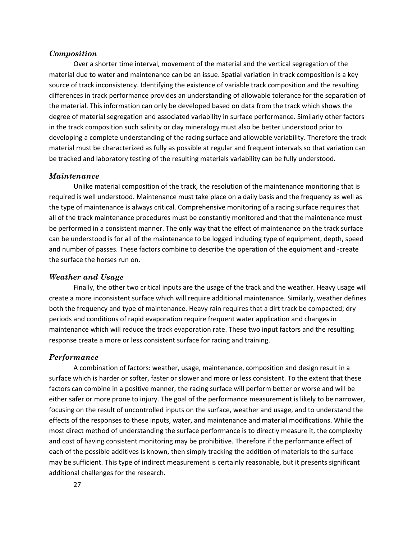#### *Composition*

Over a shorter time interval, movement of the material and the vertical segregation of the material due to water and maintenance can be an issue. Spatial variation in track composition is a key source of track inconsistency. Identifying the existence of variable track composition and the resulting differences in track performance provides an understanding of allowable tolerance for the separation of the material. This information can only be developed based on data from the track which shows the degree of material segregation and associated variability in surface performance. Similarly other factors in the track composition such salinity or clay mineralogy must also be better understood prior to developing a complete understanding of the racing surface and allowable variability. Therefore the track material must be characterized as fully as possible at regular and frequent intervals so that variation can be tracked and laboratory testing of the resulting materials variability can be fully understood.

#### *Maintenance*

Unlike material composition of the track, the resolution of the maintenance monitoring that is required is well understood. Maintenance must take place on a daily basis and the frequency as well as the type of maintenance is always critical. Comprehensive monitoring of a racing surface requires that all of the track maintenance procedures must be constantly monitored and that the maintenance must be performed in a consistent manner. The only way that the effect of maintenance on the track surface can be understood is for all of the maintenance to be logged including type of equipment, depth, speed and number of passes. These factors combine to describe the operation of the equipment and ‐create the surface the horses run on.

#### *Weather and Usage*

Finally, the other two critical inputs are the usage of the track and the weather. Heavy usage will create a more inconsistent surface which will require additional maintenance. Similarly, weather defines both the frequency and type of maintenance. Heavy rain requires that a dirt track be compacted; dry periods and conditions of rapid evaporation require frequent water application and changes in maintenance which will reduce the track evaporation rate. These two input factors and the resulting response create a more or less consistent surface for racing and training.

#### *Performance*

A combination of factors: weather, usage, maintenance, composition and design result in a surface which is harder or softer, faster or slower and more or less consistent. To the extent that these factors can combine in a positive manner, the racing surface will perform better or worse and will be either safer or more prone to injury. The goal of the performance measurement is likely to be narrower, focusing on the result of uncontrolled inputs on the surface, weather and usage, and to understand the effects of the responses to these inputs, water, and maintenance and material modifications. While the most direct method of understanding the surface performance is to directly measure it, the complexity and cost of having consistent monitoring may be prohibitive. Therefore if the performance effect of each of the possible additives is known, then simply tracking the addition of materials to the surface may be sufficient. This type of indirect measurement is certainly reasonable, but it presents significant additional challenges for the research.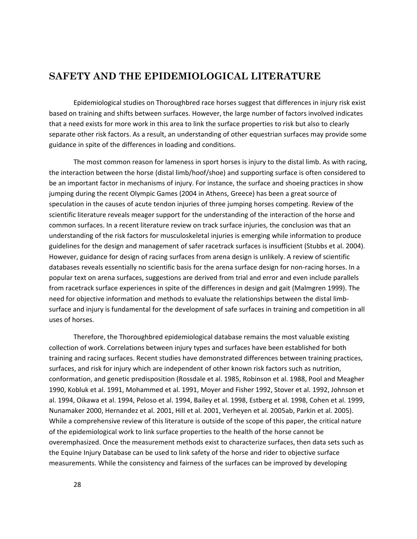# **SAFETY AND THE EPIDEMIOLOGICAL LITERATURE**

Epidemiological studies on Thoroughbred race horses suggest that differences in injury risk exist based on training and shifts between surfaces. However, the large number of factors involved indicates that a need exists for more work in this area to link the surface properties to risk but also to clearly separate other risk factors. As a result, an understanding of other equestrian surfaces may provide some guidance in spite of the differences in loading and conditions.

The most common reason for lameness in sport horses is injury to the distal limb. As with racing, the interaction between the horse (distal limb/hoof/shoe) and supporting surface is often considered to be an important factor in mechanisms of injury. For instance, the surface and shoeing practices in show jumping during the recent Olympic Games (2004 in Athens, Greece) has been a great source of speculation in the causes of acute tendon injuries of three jumping horses competing. Review of the scientific literature reveals meager support for the understanding of the interaction of the horse and common surfaces. In a recent literature review on track surface injuries, the conclusion was that an understanding of the risk factors for musculoskeletal injuries is emerging while information to produce guidelines for the design and management of safer racetrack surfaces is insufficient (Stubbs et al. 2004). However, guidance for design of racing surfaces from arena design is unlikely. A review of scientific databases reveals essentially no scientific basis for the arena surface design for non-racing horses. In a popular text on arena surfaces, suggestions are derived from trial and error and even include parallels from racetrack surface experiences in spite of the differences in design and gait (Malmgren 1999). The need for objective information and methods to evaluate the relationships between the distal limb‐ surface and injury is fundamental for the development of safe surfaces in training and competition in all uses of horses.

Therefore, the Thoroughbred epidemiological database remains the most valuable existing collection of work. Correlations between injury types and surfaces have been established for both training and racing surfaces. Recent studies have demonstrated differences between training practices, surfaces, and risk for injury which are independent of other known risk factors such as nutrition, conformation, and genetic predisposition (Rossdale et al. 1985, Robinson et al. 1988, Pool and Meagher 1990, Kobluk et al. 1991, Mohammed et al. 1991, Moyer and Fisher 1992, Stover et al. 1992, Johnson et al. 1994, Oikawa et al. 1994, Peloso et al. 1994, Bailey et al. 1998, Estberg et al. 1998, Cohen et al. 1999, Nunamaker 2000, Hernandez et al. 2001, Hill et al. 2001, Verheyen et al. 2005ab, Parkin et al. 2005). While a comprehensive review of this literature is outside of the scope of this paper, the critical nature of the epidemiological work to link surface properties to the health of the horse cannot be overemphasized. Once the measurement methods exist to characterize surfaces, then data sets such as the Equine Injury Database can be used to link safety of the horse and rider to objective surface measurements. While the consistency and fairness of the surfaces can be improved by developing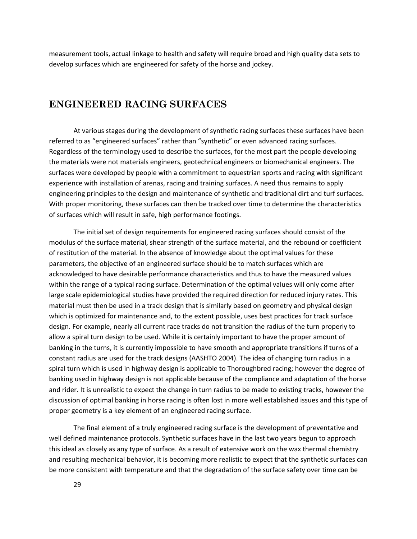measurement tools, actual linkage to health and safety will require broad and high quality data sets to develop surfaces which are engineered for safety of the horse and jockey.

# **ENGINEERED RACING SURFACES**

At various stages during the development of synthetic racing surfaces these surfaces have been referred to as "engineered surfaces" rather than "synthetic" or even advanced racing surfaces. Regardless of the terminology used to describe the surfaces, for the most part the people developing the materials were not materials engineers, geotechnical engineers or biomechanical engineers. The surfaces were developed by people with a commitment to equestrian sports and racing with significant experience with installation of arenas, racing and training surfaces. A need thus remains to apply engineering principles to the design and maintenance of synthetic and traditional dirt and turf surfaces. With proper monitoring, these surfaces can then be tracked over time to determine the characteristics of surfaces which will result in safe, high performance footings.

The initial set of design requirements for engineered racing surfaces should consist of the modulus of the surface material, shear strength of the surface material, and the rebound or coefficient of restitution of the material. In the absence of knowledge about the optimal values for these parameters, the objective of an engineered surface should be to match surfaces which are acknowledged to have desirable performance characteristics and thus to have the measured values within the range of a typical racing surface. Determination of the optimal values will only come after large scale epidemiological studies have provided the required direction for reduced injury rates. This material must then be used in a track design that is similarly based on geometry and physical design which is optimized for maintenance and, to the extent possible, uses best practices for track surface design. For example, nearly all current race tracks do not transition the radius of the turn properly to allow a spiral turn design to be used. While it is certainly important to have the proper amount of banking in the turns, it is currently impossible to have smooth and appropriate transitions if turns of a constant radius are used for the track designs (AASHTO 2004). The idea of changing turn radius in a spiral turn which is used in highway design is applicable to Thoroughbred racing; however the degree of banking used in highway design is not applicable because of the compliance and adaptation of the horse and rider. It is unrealistic to expect the change in turn radius to be made to existing tracks, however the discussion of optimal banking in horse racing is often lost in more well established issues and this type of proper geometry is a key element of an engineered racing surface.

The final element of a truly engineered racing surface is the development of preventative and well defined maintenance protocols. Synthetic surfaces have in the last two years begun to approach this ideal as closely as any type of surface. As a result of extensive work on the wax thermal chemistry and resulting mechanical behavior, it is becoming more realistic to expect that the synthetic surfaces can be more consistent with temperature and that the degradation of the surface safety over time can be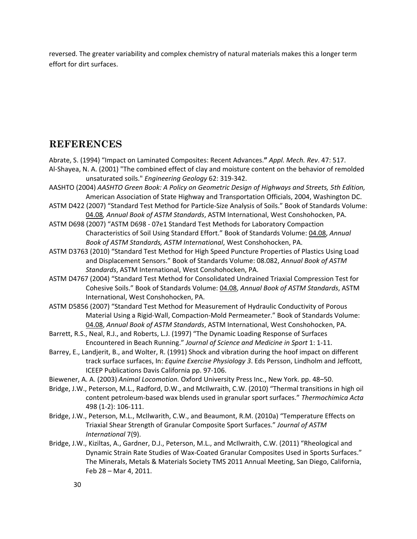reversed. The greater variability and complex chemistry of natural materials makes this a longer term effort for dirt surfaces.

# **REFERENCES**

- Abrate, S. (1994) "Impact on Laminated Composites: Recent Advances.**"** *Appl. Mech. Rev*. 47: 517. Al‐Shayea, N. A. (2001) "The combined effect of clay and moisture content on the behavior of remolded unsaturated soils." *Engineering Geology* 62: 319‐342.
- AASHTO (2004) *AASHTO Green Book: A Policy on Geometric Design of Highways and Streets, 5th Edition,* American Association of State Highway and Transportation Officials, 2004, Washington DC.
- ASTM D422 (2007) "Standard Test Method for Particle‐Size Analysis of Soils." Book of Standards Volume: [04.08](http://www.astm.org/BOOKSTORE/BOS/0408.htm)*, Annual Book of ASTM Standards*, ASTM International, West Conshohocken, PA.
- ASTM D698 (2007) "ASTM D698 ‐ 07e1 Standard Test Methods for Laboratory Compaction Characteristics of Soil Using Standard Effort." Book of Standards Volume: [04.08,](http://www.astm.org/BOOKSTORE/BOS/0408.htm) *Annual Book of ASTM Standards, ASTM International*, West Conshohocken, PA.
- ASTM D3763 (2010) "Standard Test Method for High Speed Puncture Properties of Plastics Using Load and Displacement Sensors." Book of Standards Volume: 08.082, *Annual Book of ASTM Standards*, ASTM International, West Conshohocken, PA.
- ASTM D4767 (2004) "Standard Test Method for Consolidated Undrained Triaxial Compression Test for Cohesive Soils." Book of Standards Volume: [04.08,](http://www.astm.org/BOOKSTORE/BOS/0408.htm) *Annual Book of ASTM Standards*, ASTM International, West Conshohocken, PA.
- ASTM D5856 (2007) "Standard Test Method for Measurement of Hydraulic Conductivity of Porous Material Using a Rigid‐Wall, Compaction‐Mold Permeameter." Book of Standards Volume: [04.08](http://www.astm.org/BOOKSTORE/BOS/0408.htm), *Annual Book of ASTM Standards*, ASTM International, West Conshohocken, PA.
- Barrett, R.S., Neal, R.J., and Roberts, L.J. (1997) "The Dynamic Loading Response of Surfaces Encountered in Beach Running." *Journal of Science and Medicine in Sport* 1: 1‐11.
- Barrey, E., Landjerit, B., and Wolter, R. (1991) Shock and vibration during the hoof impact on different track surface surfaces, In: *Equine Exercise Physiology 3*. Eds Persson, Lindholm and Jeffcott, ICEEP Publications Davis California pp. 97‐106.
- Biewener, A. A. (2003) *Animal Locomotion.* Oxford University Press Inc., New York. pp. 48–50.
- Bridge, J.W., Peterson, M.L., Radford, D.W., and McIlwraith, C.W. (2010) "Thermal transitions in high oil content petroleum‐based wax blends used in granular sport surfaces." *Thermochimica Acta* 498 (1‐2): 106‐111.
- Bridge, J.W., Peterson, M.L., McIlwarith, C.W., and Beaumont, R.M. (2010a) "Temperature Effects on Triaxial Shear Strength of Granular Composite Sport Surfaces." *Journal of ASTM International* 7(9).
- Bridge, J.W., Kiziltas, A., Gardner, D.J., Peterson, M.L., and McIlwraith, C.W. (2011) "Rheological and Dynamic Strain Rate Studies of Wax‐Coated Granular Composites Used in Sports Surfaces." The Minerals, Metals & Materials Society TMS 2011 Annual Meeting, San Diego, California, Feb 28 – Mar 4, 2011.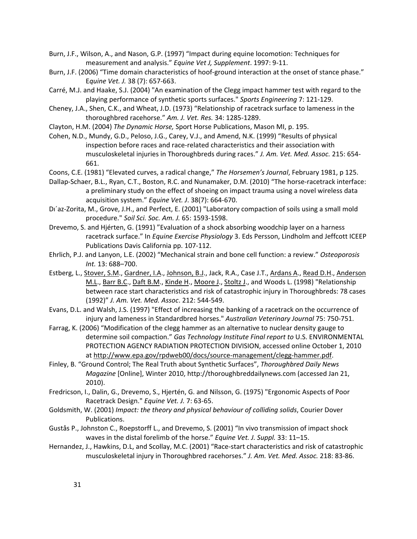- Burn, J.F., Wilson, A., and Nason, G.P. (1997) "Impact during equine locomotion: Techniques for measurement and analysis." *Equine Vet J, Supplement*. 1997: 9‐11.
- Burn, J.F. (2006) "Time domain characteristics of hoof-ground interaction at the onset of stance phase." E*quine Vet. J.* 38 (7): 657‐663.
- Carré, M.J. and Haake, S.J. (2004) "An examination of the Clegg impact hammer test with regard to the playing performance of synthetic sports surfaces." *Sports Engineering* 7: 121‐129.
- Cheney, J.A., Shen, C.K., and Wheat, J.D. (1973) "Relationship of racetrack surface to lameness in the thoroughbred racehorse." *Am. J. Vet. Res.* 34: 1285‐1289.
- Clayton, H.M. (2004) *The Dynamic Horse,* Sport Horse Publications, Mason MI, p. 195.
- Cohen, N.D., Mundy, G.D., Peloso, J.G., Carey, V.J., and Amend, N.K. (1999) "Results of physical inspection before races and race‐related characteristics and their association with musculoskeletal injuries in Thoroughbreds during races." *J. Am. Vet. Med. Assoc.* 215: 654‐ 661.
- Coons, C.E. (1981) "Elevated curves, a radical change," *The Horsemen's Journal*, February 1981, p 125.
- Dallap-Schaer, B.L., Ryan, C.T., Boston, R.C. and Nunamaker, D.M. (2010) "The horse-racetrack interface: a preliminary study on the effect of shoeing on impact trauma using a novel wireless data acquisition system." *Equine Vet. J*. 38(7): 664‐670.
- Di'az-Zorita, M., Grove, J.H., and Perfect, E. (2001) "Laboratory compaction of soils using a small mold procedure." *Soil Sci. Soc. Am. J.* 65: 1593‐1598.
- Drevemo, S. and Hjérten, G. (1991) "Evaluation of a shock absorbing woodchip layer on a harness racetrack surface." In *Equine Exercise Physiology* 3. Eds Persson, Lindholm and Jeffcott ICEEP Publications Davis California pp. 107‐112.
- Ehrlich, P.J. and Lanyon, L.E. (2002) "Mechanical strain and bone cell function: a review." *Osteoporosis Int.* 13: 688–700.
- Estberg, L., [Stover,](http://www.ncbi.nlm.nih.gov/pubmed?term=%22Stover%20SM%22%5BAuthor%5D) S.M., [Gardner,](http://www.ncbi.nlm.nih.gov/pubmed?term=%22Gardner%20IA%22%5BAuthor%5D) I.A., [Johnson,](http://www.ncbi.nlm.nih.gov/pubmed?term=%22Johnson%20BJ%22%5BAuthor%5D) B.J., Jack, R.A., Case J.T., [Ardans](http://www.ncbi.nlm.nih.gov/pubmed?term=%22Ardans%20A%22%5BAuthor%5D) A., [Read](http://www.ncbi.nlm.nih.gov/pubmed?term=%22Read%20DH%22%5BAuthor%5D) D.H., [Anderson](http://www.ncbi.nlm.nih.gov/pubmed?term=%22Anderson%20ML%22%5BAuthor%5D) [M.L.](http://www.ncbi.nlm.nih.gov/pubmed?term=%22Anderson%20ML%22%5BAuthor%5D), [Barr](http://www.ncbi.nlm.nih.gov/pubmed?term=%22Barr%20BC%22%5BAuthor%5D) B.C., [Daft](http://www.ncbi.nlm.nih.gov/pubmed?term=%22Daft%20BM%22%5BAuthor%5D) B.M., [Kinde](http://www.ncbi.nlm.nih.gov/pubmed?term=%22Kinde%20H%22%5BAuthor%5D) H., [Moore](http://www.ncbi.nlm.nih.gov/pubmed?term=%22Moore%20J%22%5BAuthor%5D) J., [Stoltz](http://www.ncbi.nlm.nih.gov/pubmed?term=%22Stoltz%20J%22%5BAuthor%5D) J., and Woods L. (1998) "Relationship between race start characteristics and risk of catastrophic injury in Thoroughbreds: 78 cases (1992)" *J. Am. Vet. Med. Assoc*. 212: 544‐549.
- Evans, D.L. and Walsh, J.S. (1997) "Effect of increasing the banking of a racetrack on the occurrence of injury and lameness in Standardbred horses." *Australian Veterinary Journal* 75: 750‐751.
- Farrag, K. (2006) "Modification of the clegg hammer as an alternative to nuclear density gauge to determine soil compaction." *Gas Technology Institute Final report to* U.S. ENVIRONMENTAL PROTECTION AGENCY RADIATION PROTECTION DIVISION, accessed online October 1, 2010 at [http://www.epa.gov/rpdweb00/docs/source](http://www.epa.gov/rpdweb00/docs/source-management/clegg-hammer.pdf)‐management/clegg‐hammer.pdf.
- Finley, B. "Ground Control; The Real Truth about Synthetic Surfaces", *Thoroughbred Daily News Magazine* [Online], Winter 2010, http://thoroughbreddailynews.com (accessed Jan 21, 2010).
- Fredricson, I., Dalin, G., Drevemo, S., Hjertén, G. and Nilsson, G. (1975) "Ergonomic Aspects of Poor Racetrack Design." *Equine Vet. J.* 7: 63‐65.
- Goldsmith, W. (2001) *Impact: the theory and physical behaviour of colliding solids*, Courier Dover Publications.
- Gustås P., Johnston C., Roepstorff L., and Drevemo, S. (2001) "In vivo transmission of impact shock waves in the distal forelimb of the horse." *Equine Vet. J. Suppl.* 33: 11–15.
- Hernandez, J., Hawkins, D.L, and Scollay, M.C. (2001) "Race‐start characteristics and risk of catastrophic musculoskeletal injury in Thoroughbred racehorses." *J. Am. Vet. Med. Assoc.* 218: 83‐86.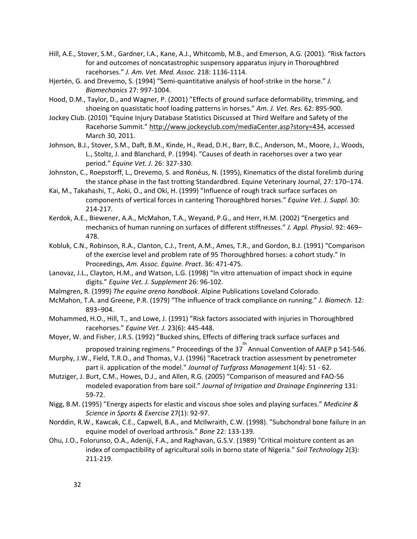- Hill, A.E., Stover, S.M., Gardner, I.A., Kane, A.J., Whitcomb, M.B., and Emerson, A.G. (2001). "Risk factors for and outcomes of noncatastrophic suspensory apparatus injury in Thoroughbred racehorses." *J. Am. Vet. Med. Assoc.* 218: 1136‐1114.
- Hjertén, G. and Drevemo, S. (1994) "Semi‐quantitative analysis of hoof‐strike in the horse." *J. Biomechanics* 27: 997‐1004.
- Hood, D.M., Taylor, D., and Wagner, P. (2001) "Effects of ground surface deformability, trimming, and shoeing on quasistatic hoof loading patterns in horses." *Am. J. Vet. Res.* 62: 895‐900.
- Jockey Club. (2010) "Equine Injury Database Statistics Discussed at Third Welfare and Safety of the Racehorse Summit." [http://www.jockeyclub.com/mediaCenter.asp?story=434,](http://www.jockeyclub.com/mediaCenter.asp?story=434) accessed March 30, 2011.
- Johnson, B.J., Stover, S.M., Daft, B.M., Kinde, H., Read, D.H., Barr, B.C., Anderson, M., Moore, J., Woods, L., Stoltz, J. and Blanchard, P. (1994). "Causes of death in racehorses over a two year period." *Equine Vet. J*. 26: 327‐330.
- Johnston, C., Roepstorff, L., Drevemo, S. and Ronéus, N. (1995), Kinematics of the distal forelimb during the stance phase in the fast trotting Standardbred. Equine Veterinary Journal, 27: 170–174.
- Kai, M., Takahashi, T., Aoki, O., and Oki, H. (1999) "Influence of rough track surface surfaces on components of vertical forces in cantering Thoroughbred horses." *Equine Vet. J. Suppl.* 30: 214‐217.
- Kerdok, A.E., Biewener, A.A., McMahon, T.A., Weyand, P.G., and Herr, H.M. (2002) "Energetics and mechanics of human running on surfaces of different stiffnesses." *J. Appl. Physiol*. 92: 469– 478.
- Kobluk, C.N., Robinson, R.A., Clanton, C.J., Trent, A.M., Ames, T.R., and Gordon, B.J. (1991) "Comparison of the exercise level and problem rate of 95 Thoroughbred horses: a cohort study." In Proceedings, *Am. Assoc. Equine. Pract*. 36: 471‐475.
- Lanovaz, J.L., Clayton, H.M., and Watson, L.G. (1998) "In vitro attenuation of impact shock in equine digits." *Equine Vet. J. Supplement* 26: 96‐102.
- Malmgren, R. (1999) *The equine arena handbook*. Alpine Publications Loveland Colorado.
- McMahon, T.A. and Greene, P.R. (1979) "The influence of track compliance on running." *J. Biomech.* 12: 893–904.
- Mohammed, H.O., Hill, T., and Lowe, J. (1991) "Risk factors associated with injuries in Thoroughbred racehorses." *Equine Vet. J.* 23(6): 445‐448.
- Moyer, W. and Fisher, J.R.S. (1992) "Bucked shins, Effects of differing track surface surfaces and

proposed training regimens." Proceedings of the 37<sup>th</sup> Annual Convention of AAEP p 541-546.

- Murphy, J.W., Field, T.R.O., and Thomas, V.J. (1996) "Racetrack traction assessment by penetrometer part ii. application of the model." *Journal of Turfgrass Management* 1(4): 51 ‐ 62.
- Mutziger, J. Burt, C.M., Howes, D.J., and Allen, R.G. (2005) "Comparison of measured and FAO‐56 modeled evaporation from bare soil." *Journal of Irrigation and Drainage Engineering* 131: 59‐72.
- Nigg, B.M. (1995) "Energy aspects for elastic and viscous shoe soles and playing surfaces." *Medicine & Science in Sports & Exercise* 27(1): 92‐97.
- Norddin, R.W., Kawcak, C.E., Capwell, B.A., and McIlwraith, C.W. (1998). "Subchondral bone failure in an equine model of overload arthrosis." *Bone* 22: 133‐139.
- Ohu, J.O., Folorunso, O.A., Adeniji, F.A., and Raghavan, G.S.V. (1989) "Critical moisture content as an index of compactibility of agricultural soils in borno state of Nigeria." *Soil Technology* 2(3): 211‐219.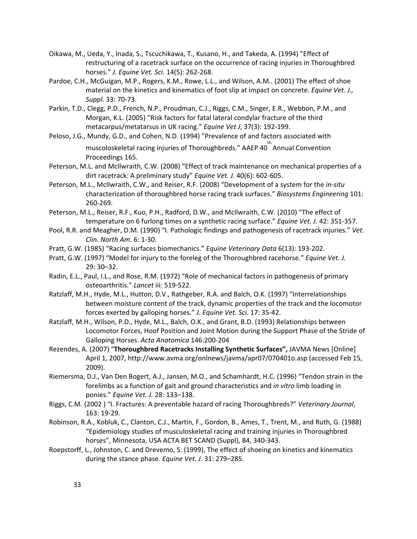- Oikawa, M., Ueda, Y., Inada, S., Tscuchikawa, T., Kusano, H., and Takeda, A. (1994) "Effect of restructuring of a racetrack surface on the occurrence of racing injuries in Thoroughbred horses." *J. Equine Vet. Sci.* 14(5): 262‐268.
- Pardoe, C.H., McGuigan, M.P., Rogers, K.M., Rowe, L.L., and Wilson, A.M.. (2001) The effect of shoe material on the kinetics and kinematics of foot slip at impact on concrete. *Equine Vet. J., Suppl.* 33: 70‐73.
- Parkin, T.D., Clegg, P.D., French, N.P., Proudman, C.J., Riggs, C.M., Singer, E.R., Webbon, P.M., and Morgan, K.L. (2005) "Risk factors for fatal lateral condylar fracture of the third metacarpus/metatarsus in UK racing." *Equine Vet J*, 37(3): 192‐199.
- Peloso, J.G., Mundy, G.D., and Cohen, N.D. (1994) "Prevalence of and factors associated with muscoloskeletal racing injuries of Thoroughbreds." AAEP 40<sup>th</sup> Annual Convention Proceedings 165.
- Peterson, M.L. and McIlwraith, C.W. (2008) "Effect of track maintenance on mechanical properties of a dirt racetrack: A preliminary study" *Equine Vet. J.* 40(6): 602‐605.
- Peterson, M.L., McIlwraith, C.W., and Reiser, R.F. (2008) "Development of a system for the *in‐situ* characterization of thoroughbred horse racing track surfaces." *Biosystems Engineering* 101: 260‐269.
- Peterson, M.L., Reiser, R.F., Kuo, P.H., Radford, D.W., and McIlwraith, C.W. (2010) "The effect of temperature on 6 furlong times on a synthetic racing surface." *Equine Vet. J.* 42: 351‐357.
- Pool, R.R. and Meagher, D.M. (1990) "I. Pathologic findings and pathogenesis of racetrack injuries." *Vet. Clin. North Am*. 6: 1‐30.
- Pratt, G.W. (1985) "Racing surfaces biomechanics." *Equine Veterinary Data* 6(13): 193‐202.
- Pratt, G.W. (1997) "Model for injury to the foreleg of the Thoroughbred racehorse." *Equine Vet. J.* 29: 30–32.
- Radin, E.L., Paul, I.L., and Rose, R.M. (1972) "Role of mechanical factors in pathogenesis of primary osteoarthritis." *Lancet* iii: 519‐522.
- Ratzlaff, M.H., Hyde, M.L., Hutton, D.V., Rathgeber, R.A. and Balch, O.K. (1997) "Interrelationships between moisture content of the track, dynamic properties of the track and the locomotor forces exerted by galloping horses." *J. Equine Vet. Sci.* 17: 35‐42.
- Ratzlaff, M.H., Wilson, P.D., Hyde, M.L., Balch, O.K., and Grant, B.D. (1993) Relationships between Locomotor Forces, Hoof Position and Joint Motion during the Support Phase of the Stride of Galloping Horses. *Acta Anatomica* 146:200‐204
- Rezendes, A. (2007) "**Thoroughbred Racetracks Installing Synthetic Surfaces",** JAVMA News [Online] April 1, 2007, http://www.avma.org/onlnews/javma/apr07/070401o.asp (accessed Feb 15, 2009).
- Riemersma, D.J., Van Den Bogert, A.J., Jansen, M.O., and Schamhardt, H.C. (1996) "Tendon strain in the forelimbs as a function of gait and ground characteristics and *in vitro* limb loading in ponies." *Equine Vet. J.* 28: 133–138.
- Riggs, C.M. (2002 ) "I. Fractures: A preventable hazard of racing Thoroughbreds?" *Veterinary Journal*, 163: 19‐29.
- Robinson, R.A., Kobluk, C., Clanton, C.J., Martin, F., Gordon, B., Ames, T., Trent, M., and Ruth, G. (1988) "Epidemiology studies of musculoskeletal racing and training injuries in Thoroughbred horses", Minnesota, USA ACTA BET SCAND (Suppl), 84, 340‐343.
- Roepstorff, L., Johnston, C. and Drevemo, S. (1999), The effect of shoeing on kinetics and kinematics during the stance phase. *Equine Vet. J.* 31: 279–285.